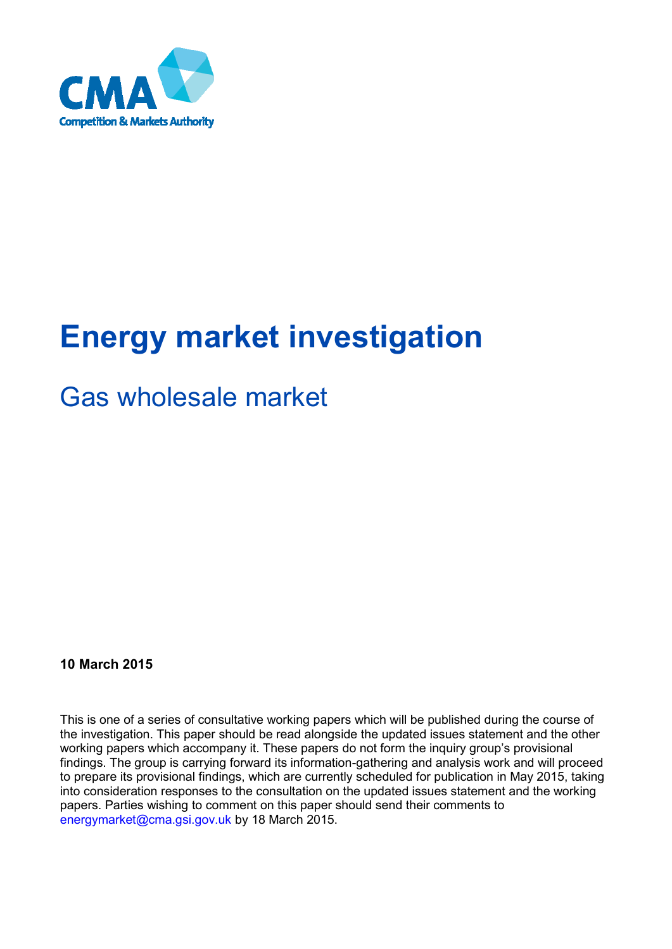

# **Energy market investigation**

# Gas wholesale market

# **10 March 2015**

This is one of a series of consultative working papers which will be published during the course of the investigation. This paper should be read alongside the updated issues statement and the other working papers which accompany it. These papers do not form the inquiry group's provisional findings. The group is carrying forward its information-gathering and analysis work and will proceed to prepare its provisional findings, which are currently scheduled for publication in May 2015, taking into consideration responses to the consultation on the updated issues statement and the working papers. Parties wishing to comment on this paper should send their comments to [energymarket@cma.gsi.gov.uk](mailto:energymarket@cma.gsi.gov.uk) by 18 March 2015.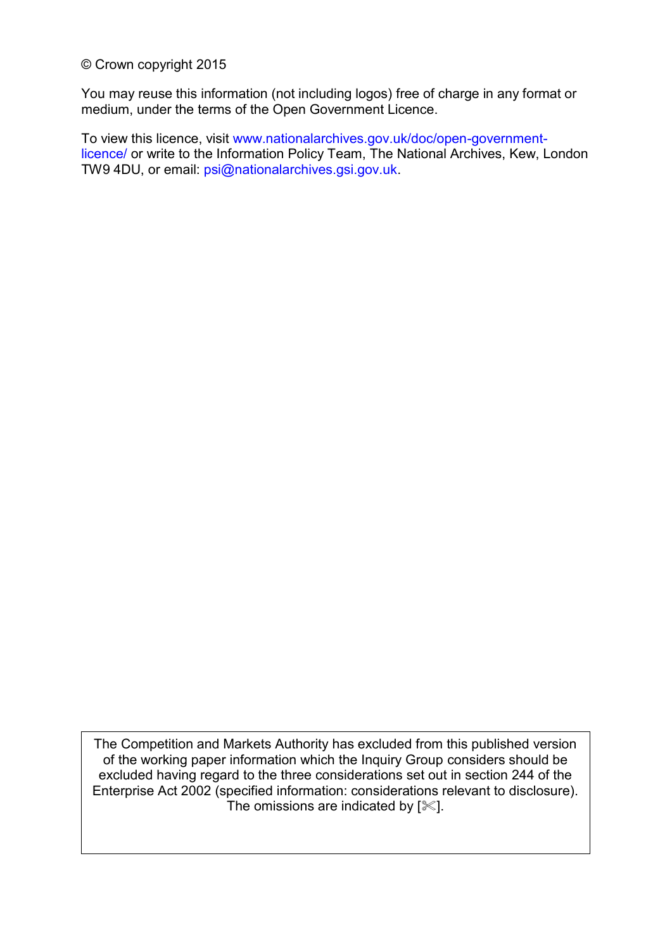© Crown copyright 2015

You may reuse this information (not including logos) free of charge in any format or medium, under the terms of the Open Government Licence.

To view this licence, visit [www.nationalarchives.gov.uk/doc/open-government](http://www.nationalarchives.gov.uk/doc/open-government-licence/)[licence/](http://www.nationalarchives.gov.uk/doc/open-government-licence/) or write to the Information Policy Team, The National Archives, Kew, London TW9 4DU, or email: [psi@nationalarchives.gsi.gov.uk.](mailto:psi@nationalarchives.gsi.gov.uk)

The Competition and Markets Authority has excluded from this published version of the working paper information which the Inquiry Group considers should be excluded having regard to the three considerations set out in section 244 of the Enterprise Act 2002 (specified information: considerations relevant to disclosure). The omissions are indicated by  $[$   $\ll$   $]$ .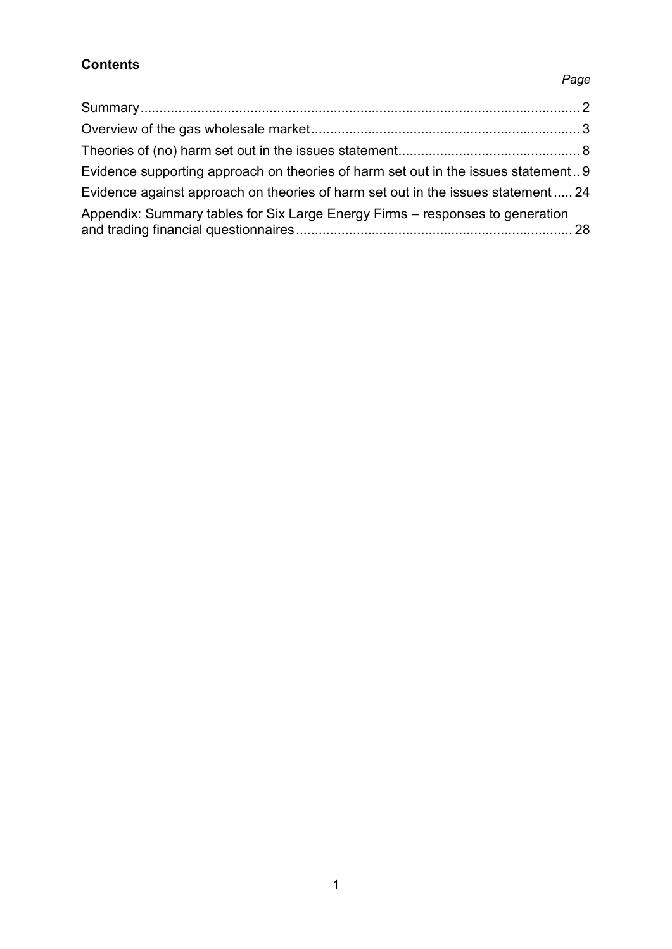# **Contents**

# [Summary....................................................................................................................](#page-3-0) 2 [Overview of the gas wholesale market.......................................................................](#page-4-0) 3 [Theories of \(no\) harm set out in the issues statement................................................](#page-9-0) 8 [Evidence supporting approach on theories of harm set out in the issues statement..](#page-10-0) 9 [Evidence against approach on theories of harm set out in the issues statement](#page-25-0) ..... 24 [Appendix: Summary tables for Six Large Energy Firms](#page-29-0) – responses to generation [and trading financial questionnaires.........................................................................](#page-29-0) 28

### *Page*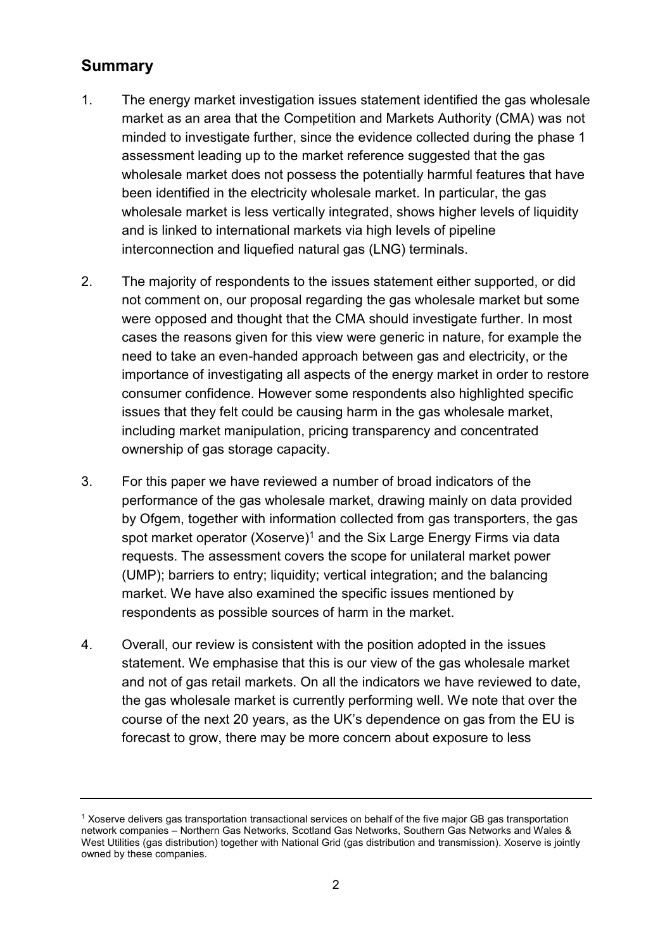# <span id="page-3-0"></span>**Summary**

- 1. The energy market investigation issues statement identified the gas wholesale market as an area that the Competition and Markets Authority (CMA) was not minded to investigate further, since the evidence collected during the phase 1 assessment leading up to the market reference suggested that the gas wholesale market does not possess the potentially harmful features that have been identified in the electricity wholesale market. In particular, the gas wholesale market is less vertically integrated, shows higher levels of liquidity and is linked to international markets via high levels of pipeline interconnection and liquefied natural gas (LNG) terminals.
- 2. The majority of respondents to the issues statement either supported, or did not comment on, our proposal regarding the gas wholesale market but some were opposed and thought that the CMA should investigate further. In most cases the reasons given for this view were generic in nature, for example the need to take an even-handed approach between gas and electricity, or the importance of investigating all aspects of the energy market in order to restore consumer confidence. However some respondents also highlighted specific issues that they felt could be causing harm in the gas wholesale market, including market manipulation, pricing transparency and concentrated ownership of gas storage capacity.
- 3. For this paper we have reviewed a number of broad indicators of the performance of the gas wholesale market, drawing mainly on data provided by Ofgem, together with information collected from gas transporters, the gas spot market operator  $(Xoserve)^1$  and the Six Large Energy Firms via data requests. The assessment covers the scope for unilateral market power (UMP); barriers to entry; liquidity; vertical integration; and the balancing market. We have also examined the specific issues mentioned by respondents as possible sources of harm in the market.
- 4. Overall, our review is consistent with the position adopted in the issues statement. We emphasise that this is our view of the gas wholesale market and not of gas retail markets. On all the indicators we have reviewed to date, the gas wholesale market is currently performing well. We note that over the course of the next 20 years, as the UK's dependence on gas from the EU is forecast to grow, there may be more concern about exposure to less

<sup>1</sup> Xoserve delivers gas transportation transactional services on behalf of the five major GB gas transportation network companies – Northern Gas Networks, Scotland Gas Networks, Southern Gas Networks and Wales & West Utilities (gas distribution) together with National Grid (gas distribution and transmission). Xoserve is jointly owned by these companies.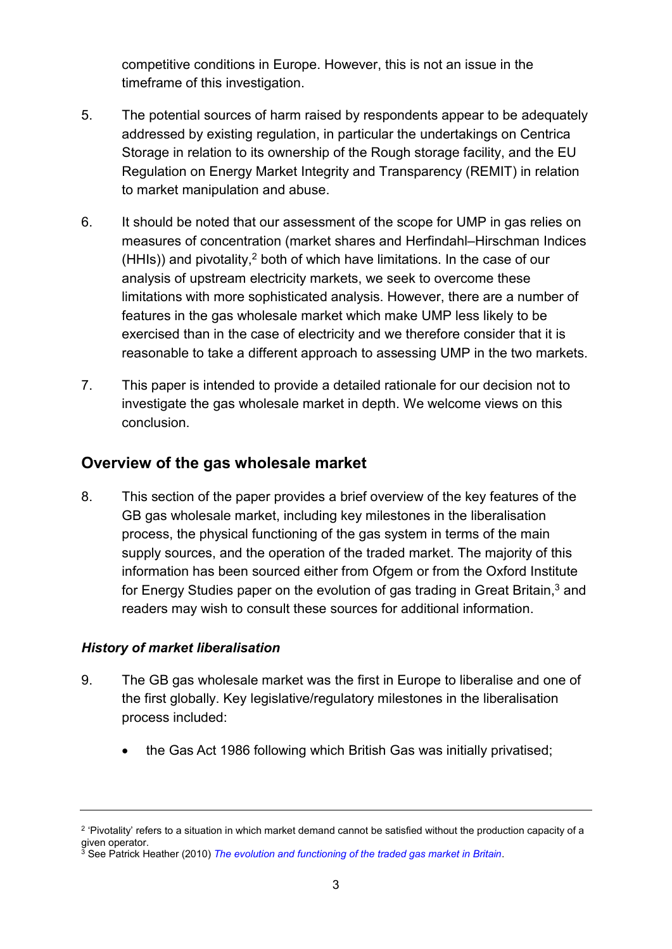competitive conditions in Europe. However, this is not an issue in the timeframe of this investigation.

- 5. The potential sources of harm raised by respondents appear to be adequately addressed by existing regulation, in particular the undertakings on Centrica Storage in relation to its ownership of the Rough storage facility, and the EU Regulation on Energy Market Integrity and Transparency (REMIT) in relation to market manipulation and abuse.
- 6. It should be noted that our assessment of the scope for UMP in gas relies on measures of concentration (market shares and Herfindahl–Hirschman Indices  $(HHIs)$ ) and pivotality,<sup>2</sup> both of which have limitations. In the case of our analysis of upstream electricity markets, we seek to overcome these limitations with more sophisticated analysis. However, there are a number of features in the gas wholesale market which make UMP less likely to be exercised than in the case of electricity and we therefore consider that it is reasonable to take a different approach to assessing UMP in the two markets.
- 7. This paper is intended to provide a detailed rationale for our decision not to investigate the gas wholesale market in depth. We welcome views on this conclusion.

# <span id="page-4-0"></span>**Overview of the gas wholesale market**

8. This section of the paper provides a brief overview of the key features of the GB gas wholesale market, including key milestones in the liberalisation process, the physical functioning of the gas system in terms of the main supply sources, and the operation of the traded market. The majority of this information has been sourced either from Ofgem or from the Oxford Institute for Energy Studies paper on the evolution of gas trading in Great Britain, $3$  and readers may wish to consult these sources for additional information.

# *History of market liberalisation*

- 9. The GB gas wholesale market was the first in Europe to liberalise and one of the first globally. Key legislative/regulatory milestones in the liberalisation process included:
	- the Gas Act 1986 following which British Gas was initially privatised;

<sup>&</sup>lt;sup>2</sup> 'Pivotality' refers to a situation in which market demand cannot be satisfied without the production capacity of a given operator.

<sup>3</sup> See Patrick Heather (2010) *[The evolution and functioning of the traded gas market in Britain](http://www.oxfordenergy.org/wpcms/wp-content/uploads/2010/11/NG44-TheEvolutionandFunctioningOfTheTradedGasMarketInBritain-PatrickHeather-2010.pdf)*.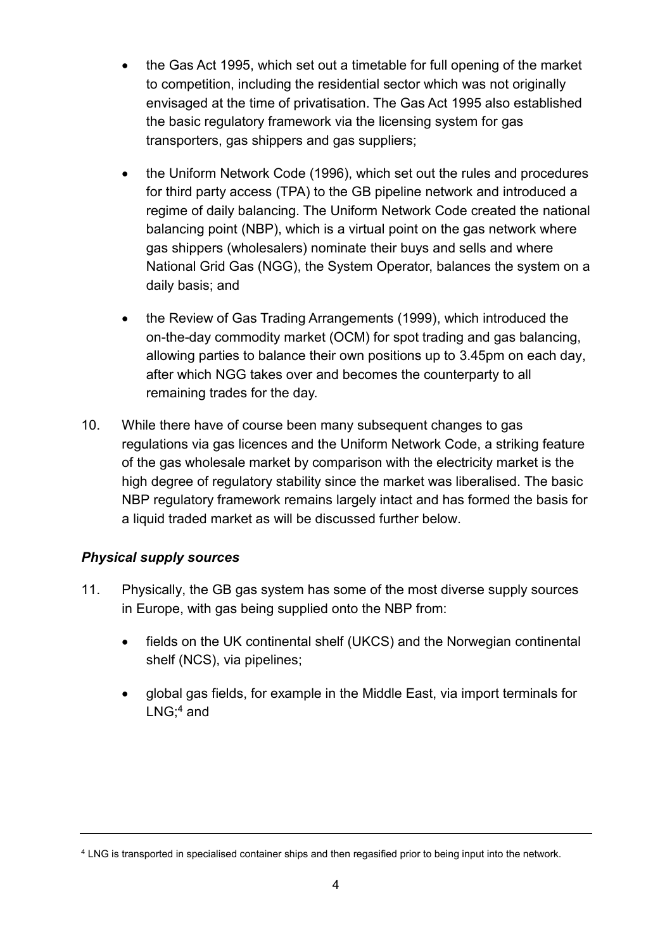- the Gas Act 1995, which set out a timetable for full opening of the market to competition, including the residential sector which was not originally envisaged at the time of privatisation. The Gas Act 1995 also established the basic regulatory framework via the licensing system for gas transporters, gas shippers and gas suppliers;
- the Uniform Network Code (1996), which set out the rules and procedures for third party access (TPA) to the GB pipeline network and introduced a regime of daily balancing. The Uniform Network Code created the national balancing point (NBP), which is a virtual point on the gas network where gas shippers (wholesalers) nominate their buys and sells and where National Grid Gas (NGG), the System Operator, balances the system on a daily basis; and
- the Review of Gas Trading Arrangements (1999), which introduced the on-the-day commodity market (OCM) for spot trading and gas balancing, allowing parties to balance their own positions up to 3.45pm on each day, after which NGG takes over and becomes the counterparty to all remaining trades for the day.
- 10. While there have of course been many subsequent changes to gas regulations via gas licences and the Uniform Network Code, a striking feature of the gas wholesale market by comparison with the electricity market is the high degree of regulatory stability since the market was liberalised. The basic NBP regulatory framework remains largely intact and has formed the basis for a liquid traded market as will be discussed further below.

# *Physical supply sources*

- 11. Physically, the GB gas system has some of the most diverse supply sources in Europe, with gas being supplied onto the NBP from:
	- fields on the UK continental shelf (UKCS) and the Norwegian continental shelf (NCS), via pipelines;
	- global gas fields, for example in the Middle East, via import terminals for LNG; <sup>4</sup> and

<sup>4</sup> LNG is transported in specialised container ships and then regasified prior to being input into the network.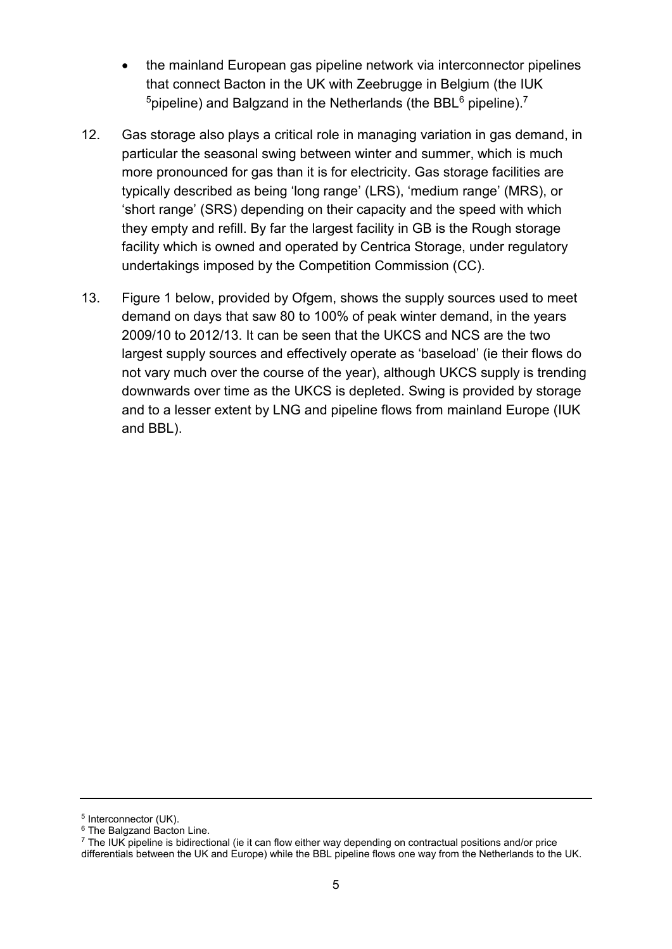- the mainland European gas pipeline network via interconnector pipelines that connect Bacton in the UK with Zeebrugge in Belgium (the IUK  $5$ pipeline) and Balgzand in the Netherlands (the BBL $6$  pipeline).<sup>7</sup>
- 12. Gas storage also plays a critical role in managing variation in gas demand, in particular the seasonal swing between winter and summer, which is much more pronounced for gas than it is for electricity. Gas storage facilities are typically described as being 'long range' (LRS), 'medium range' (MRS), or 'short range' (SRS) depending on their capacity and the speed with which they empty and refill. By far the largest facility in GB is the Rough storage facility which is owned and operated by Centrica Storage, under regulatory undertakings imposed by the Competition Commission (CC).
- 13. Figure 1 below, provided by Ofgem, shows the supply sources used to meet demand on days that saw 80 to 100% of peak winter demand, in the years 2009/10 to 2012/13. It can be seen that the UKCS and NCS are the two largest supply sources and effectively operate as 'baseload' (ie their flows do not vary much over the course of the year), although UKCS supply is trending downwards over time as the UKCS is depleted. Swing is provided by storage and to a lesser extent by LNG and pipeline flows from mainland Europe (IUK and BBL).

<sup>5</sup> Interconnector (UK).

<sup>&</sup>lt;sup>6</sup> The Balgzand Bacton Line.

 $7$  The IUK pipeline is bidirectional (ie it can flow either way depending on contractual positions and/or price differentials between the UK and Europe) while the BBL pipeline flows one way from the Netherlands to the UK.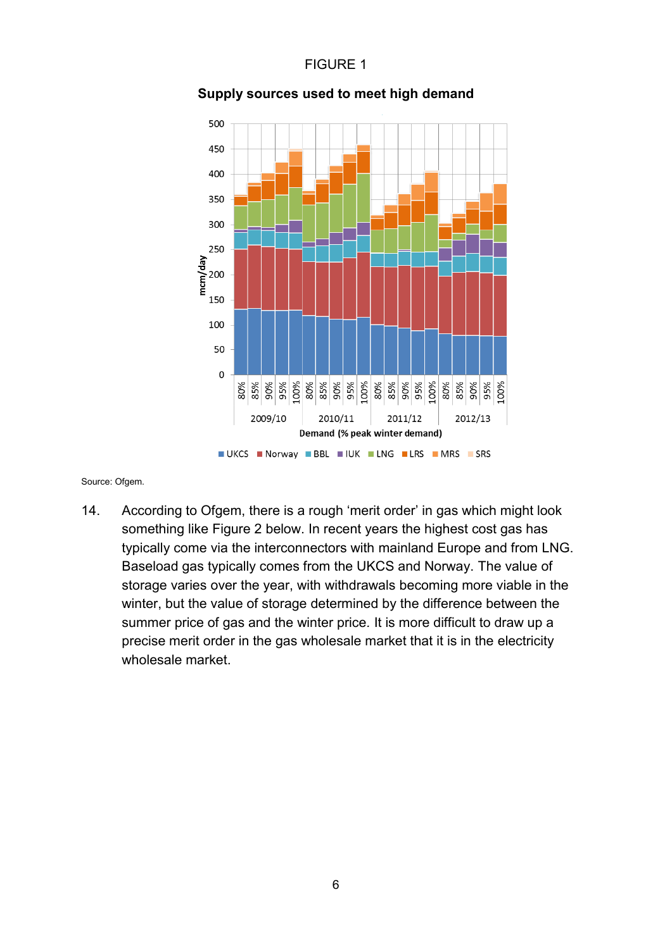# FIGURE 1



# **Supply sources used to meet high demand**

Source: Ofgem.

14. According to Ofgem, there is a rough 'merit order' in gas which might look something like Figure 2 below. In recent years the highest cost gas has typically come via the interconnectors with mainland Europe and from LNG. Baseload gas typically comes from the UKCS and Norway. The value of storage varies over the year, with withdrawals becoming more viable in the winter, but the value of storage determined by the difference between the summer price of gas and the winter price*.* It is more difficult to draw up a precise merit order in the gas wholesale market that it is in the electricity wholesale market.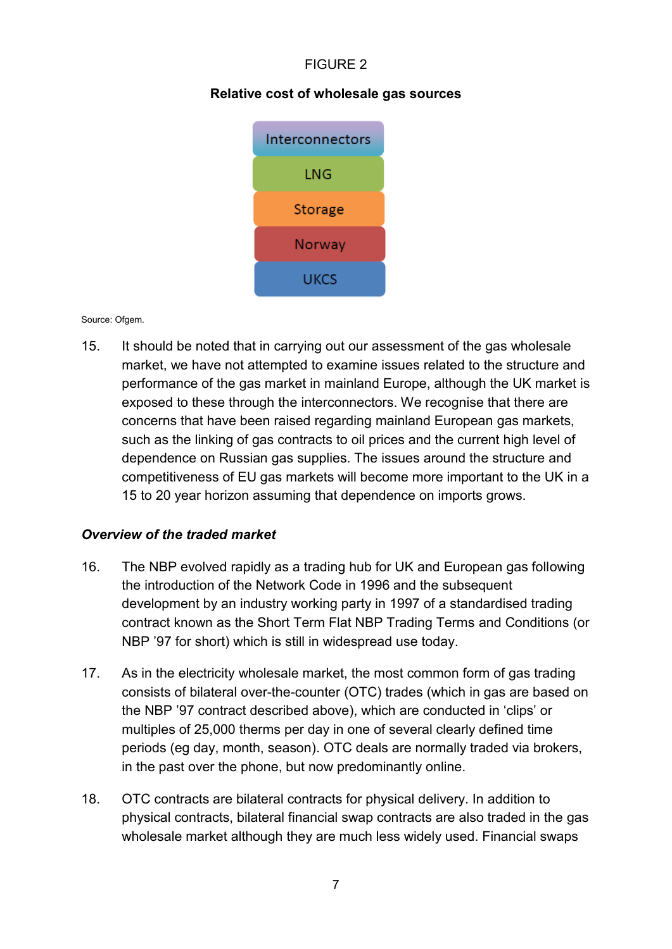# FIGURE 2

# **Relative cost of wholesale gas sources**



#### Source: Ofgem.

15. It should be noted that in carrying out our assessment of the gas wholesale market, we have not attempted to examine issues related to the structure and performance of the gas market in mainland Europe, although the UK market is exposed to these through the interconnectors. We recognise that there are concerns that have been raised regarding mainland European gas markets, such as the linking of gas contracts to oil prices and the current high level of dependence on Russian gas supplies. The issues around the structure and competitiveness of EU gas markets will become more important to the UK in a 15 to 20 year horizon assuming that dependence on imports grows.

# *Overview of the traded market*

- 16. The NBP evolved rapidly as a trading hub for UK and European gas following the introduction of the Network Code in 1996 and the subsequent development by an industry working party in 1997 of a standardised trading contract known as the Short Term Flat NBP Trading Terms and Conditions (or NBP '97 for short) which is still in widespread use today.
- 17. As in the electricity wholesale market, the most common form of gas trading consists of bilateral over-the-counter (OTC) trades (which in gas are based on the NBP '97 contract described above), which are conducted in 'clips' or multiples of 25,000 therms per day in one of several clearly defined time periods (eg day, month, season). OTC deals are normally traded via brokers, in the past over the phone, but now predominantly online.
- 18. OTC contracts are bilateral contracts for physical delivery. In addition to physical contracts, bilateral financial swap contracts are also traded in the gas wholesale market although they are much less widely used. Financial swaps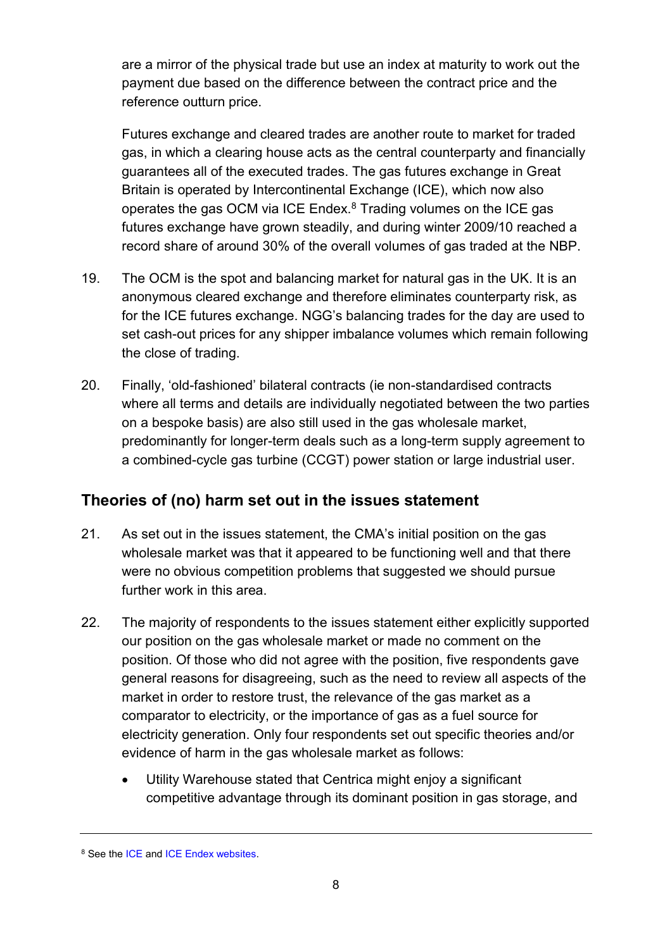are a mirror of the physical trade but use an index at maturity to work out the payment due based on the difference between the contract price and the reference outturn price.

Futures exchange and cleared trades are another route to market for traded gas, in which a clearing house acts as the central counterparty and financially guarantees all of the executed trades. The gas futures exchange in Great Britain is operated by Intercontinental Exchange (ICE), which now also operates the gas OCM via ICE Endex.<sup>8</sup> Trading volumes on the ICE gas futures exchange have grown steadily, and during winter 2009/10 reached a record share of around 30% of the overall volumes of gas traded at the NBP.

- 19. The OCM is the spot and balancing market for natural gas in the UK. It is an anonymous cleared exchange and therefore eliminates counterparty risk, as for the ICE futures exchange. NGG's balancing trades for the day are used to set cash-out prices for any shipper imbalance volumes which remain following the close of trading.
- 20. Finally, 'old-fashioned' bilateral contracts (ie non-standardised contracts where all terms and details are individually negotiated between the two parties on a bespoke basis) are also still used in the gas wholesale market, predominantly for longer-term deals such as a long-term supply agreement to a combined-cycle gas turbine (CCGT) power station or large industrial user.

# <span id="page-9-0"></span>**Theories of (no) harm set out in the issues statement**

- 21. As set out in the issues statement, the CMA's initial position on the gas wholesale market was that it appeared to be functioning well and that there were no obvious competition problems that suggested we should pursue further work in this area.
- 22. The majority of respondents to the issues statement either explicitly supported our position on the gas wholesale market or made no comment on the position. Of those who did not agree with the position, five respondents gave general reasons for disagreeing, such as the need to review all aspects of the market in order to restore trust, the relevance of the gas market as a comparator to electricity, or the importance of gas as a fuel source for electricity generation. Only four respondents set out specific theories and/or evidence of harm in the gas wholesale market as follows:
	- Utility Warehouse stated that Centrica might enjoy a significant competitive advantage through its dominant position in gas storage, and

<sup>8</sup> See the [ICE](https://www.theice.com/index) and [ICE Endex](http://www.iceendex.com/) websites.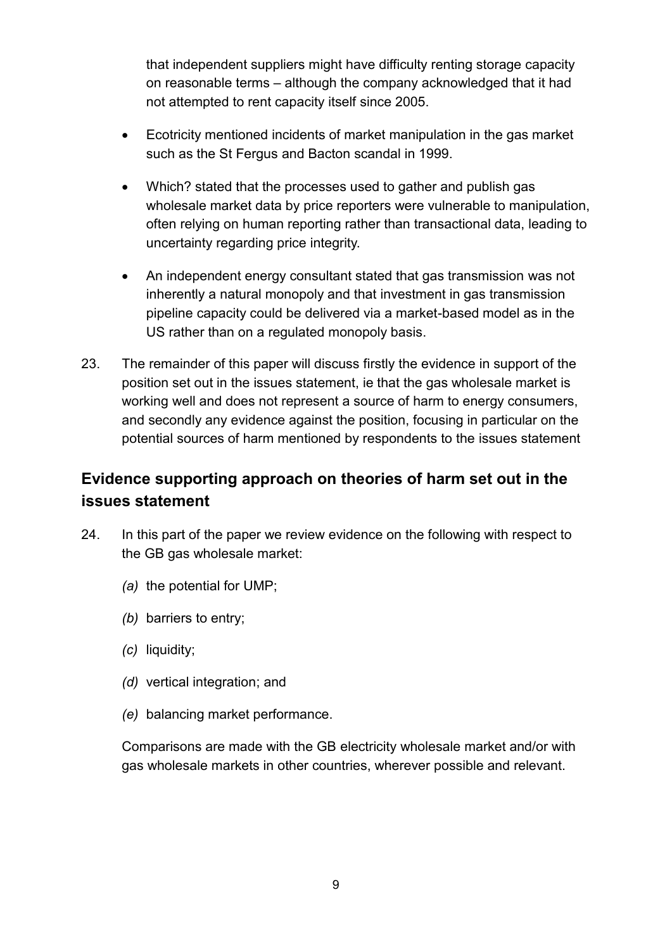that independent suppliers might have difficulty renting storage capacity on reasonable terms – although the company acknowledged that it had not attempted to rent capacity itself since 2005.

- Ecotricity mentioned incidents of market manipulation in the gas market such as the St Fergus and Bacton scandal in 1999.
- Which? stated that the processes used to gather and publish gas wholesale market data by price reporters were vulnerable to manipulation, often relying on human reporting rather than transactional data, leading to uncertainty regarding price integrity.
- An independent energy consultant stated that gas transmission was not inherently a natural monopoly and that investment in gas transmission pipeline capacity could be delivered via a market-based model as in the US rather than on a regulated monopoly basis.
- 23. The remainder of this paper will discuss firstly the evidence in support of the position set out in the issues statement, ie that the gas wholesale market is working well and does not represent a source of harm to energy consumers, and secondly any evidence against the position, focusing in particular on the potential sources of harm mentioned by respondents to the issues statement

# <span id="page-10-0"></span>**Evidence supporting approach on theories of harm set out in the issues statement**

- 24. In this part of the paper we review evidence on the following with respect to the GB gas wholesale market:
	- *(a)* the potential for UMP;
	- *(b)* barriers to entry;
	- *(c)* liquidity;
	- *(d)* vertical integration; and
	- *(e)* balancing market performance.

Comparisons are made with the GB electricity wholesale market and/or with gas wholesale markets in other countries, wherever possible and relevant.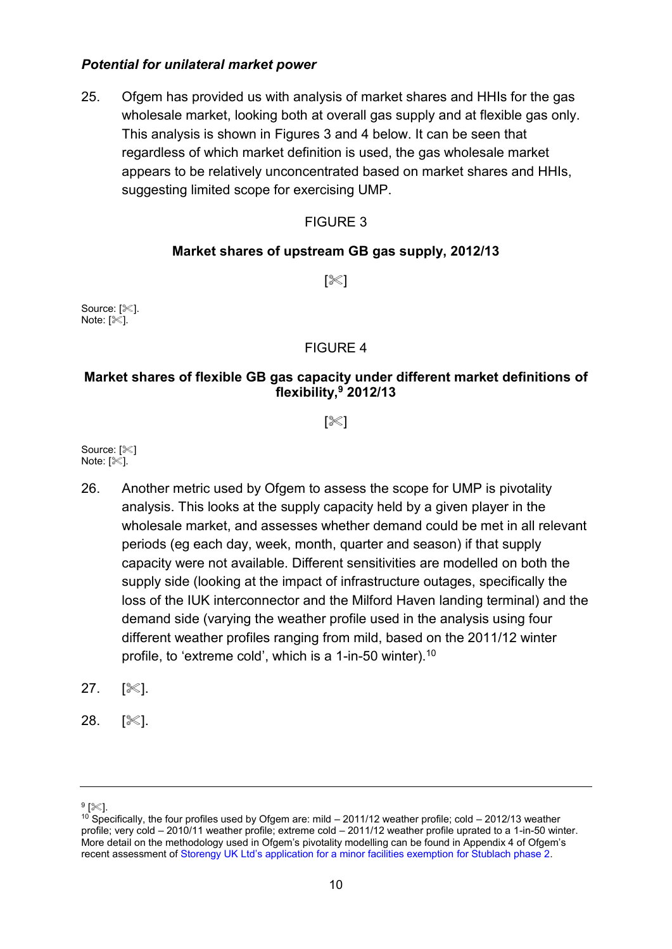# *Potential for unilateral market power*

25. Ofgem has provided us with analysis of market shares and HHIs for the gas wholesale market, looking both at overall gas supply and at flexible gas only. This analysis is shown in Figures 3 and 4 below. It can be seen that regardless of which market definition is used, the gas wholesale market appears to be relatively unconcentrated based on market shares and HHIs, suggesting limited scope for exercising UMP.

# FIGURE 3

# **Market shares of upstream GB gas supply, 2012/13**

 $\sqrt{3}$ 

Source: [ $\le$ ]. Note:  $\sqrt{\infty}$ ].

# FIGURE 4

# **Market shares of flexible GB gas capacity under different market definitions of flexibility, <sup>9</sup> 2012/13**

 $\llbracket\%$ 

Source: [ $\ll 1$ Note:  $[%]$ .

- 26. Another metric used by Ofgem to assess the scope for UMP is pivotality analysis. This looks at the supply capacity held by a given player in the wholesale market, and assesses whether demand could be met in all relevant periods (eg each day, week, month, quarter and season) if that supply capacity were not available. Different sensitivities are modelled on both the supply side (looking at the impact of infrastructure outages, specifically the loss of the IUK interconnector and the Milford Haven landing terminal) and the demand side (varying the weather profile used in the analysis using four different weather profiles ranging from mild, based on the 2011/12 winter profile, to 'extreme cold', which is a 1-in-50 winter).<sup>10</sup>
- $27.$   $\sqrt{81}$ .
- 28. [※].

 $^9$  [ $\ll$ ].

<sup>&</sup>lt;sup>10</sup> Specifically, the four profiles used by Ofgem are: mild – 2011/12 weather profile; cold – 2012/13 weather profile; very cold – 2010/11 weather profile; extreme cold – 2011/12 weather profile uprated to a 1-in-50 winter. More detail on the methodology used in Ofgem's pivotality modelling can be found in Appendix 4 of Ofgem's recent assessment of [Storengy UK Ltd's application for a minor facilities exemption](https://www.ofgem.gov.uk/ofgem-publications/86471/stublachphase2mfe-consultation.pdf) for Stublach phase 2.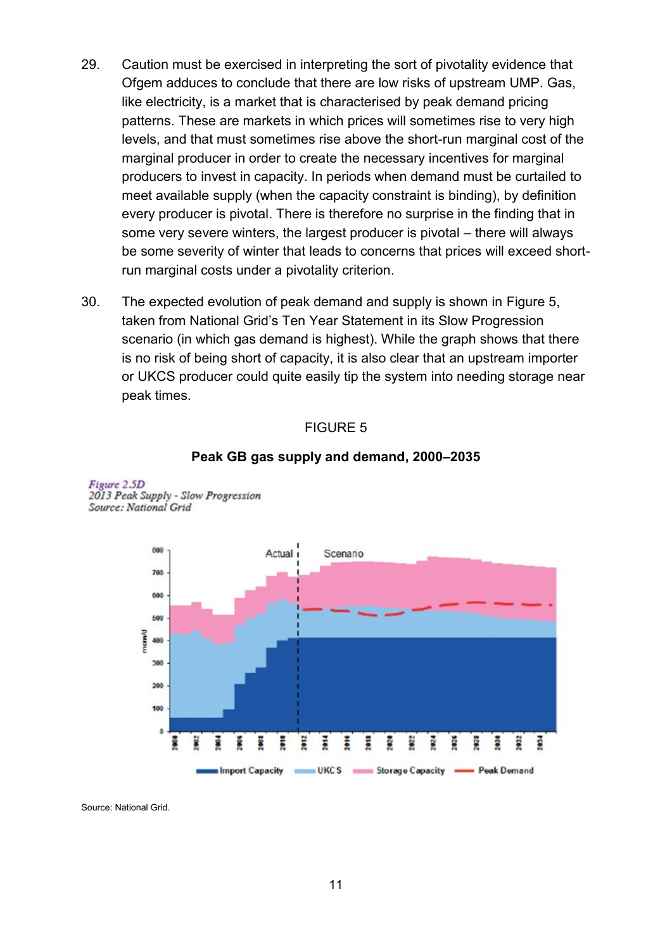- 29. Caution must be exercised in interpreting the sort of pivotality evidence that Ofgem adduces to conclude that there are low risks of upstream UMP. Gas, like electricity, is a market that is characterised by peak demand pricing patterns. These are markets in which prices will sometimes rise to very high levels, and that must sometimes rise above the short-run marginal cost of the marginal producer in order to create the necessary incentives for marginal producers to invest in capacity. In periods when demand must be curtailed to meet available supply (when the capacity constraint is binding), by definition every producer is pivotal. There is therefore no surprise in the finding that in some very severe winters, the largest producer is pivotal – there will always be some severity of winter that leads to concerns that prices will exceed shortrun marginal costs under a pivotality criterion.
- 30. The expected evolution of peak demand and supply is shown in Figure 5, taken from National Grid's Ten Year Statement in its Slow Progression scenario (in which gas demand is highest). While the graph shows that there is no risk of being short of capacity, it is also clear that an upstream importer or UKCS producer could quite easily tip the system into needing storage near peak times.

### FIGURE 5

#### 800 Actual Scenario 700 800 500 **Camp** 400 300 200 100  $\theta$ š š **SIG** Ë 2682 ē g ğ

#### **Peak GB gas supply and demand, 2000–2035**

**Figure 2.5D** 2013 Peak Supply - Slow Progression Source: National Grid

Source: National Grid.

Import Capacity UKCS Storage Capacity - Peak Demand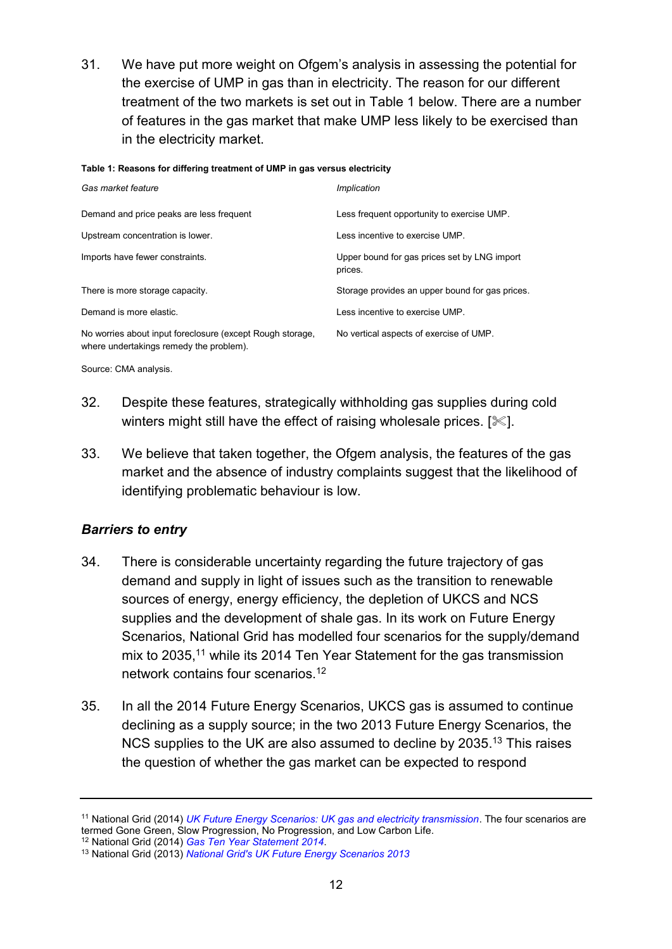31. We have put more weight on Ofgem's analysis in assessing the potential for the exercise of UMP in gas than in electricity. The reason for our different treatment of the two markets is set out in Table 1 below. There are a number of features in the gas market that make UMP less likely to be exercised than in the electricity market.

#### **Table 1: Reasons for differing treatment of UMP in gas versus electricity**

| Gas market feature                                                                                   | Implication                                             |
|------------------------------------------------------------------------------------------------------|---------------------------------------------------------|
| Demand and price peaks are less frequent                                                             | Less frequent opportunity to exercise UMP.              |
| Upstream concentration is lower.                                                                     | Less incentive to exercise UMP.                         |
| Imports have fewer constraints.                                                                      | Upper bound for gas prices set by LNG import<br>prices. |
| There is more storage capacity.                                                                      | Storage provides an upper bound for gas prices.         |
| Demand is more elastic.                                                                              | Less incentive to exercise UMP.                         |
| No worries about input foreclosure (except Rough storage,<br>where undertakings remedy the problem). | No vertical aspects of exercise of UMP.                 |

Source: CMA analysis.

- 32. Despite these features, strategically withholding gas supplies during cold winters might still have the effect of raising wholesale prices.  $[\mathcal{K}]$ .
- 33. We believe that taken together, the Ofgem analysis, the features of the gas market and the absence of industry complaints suggest that the likelihood of identifying problematic behaviour is low.

# *Barriers to entry*

- 34. There is considerable uncertainty regarding the future trajectory of gas demand and supply in light of issues such as the transition to renewable sources of energy, energy efficiency, the depletion of UKCS and NCS supplies and the development of shale gas. In its work on Future Energy Scenarios, National Grid has modelled four scenarios for the supply/demand mix to 2035,<sup>11</sup> while its 2014 Ten Year Statement for the gas transmission network contains four scenarios<sup>12</sup>
- 35. In all the 2014 Future Energy Scenarios, UKCS gas is assumed to continue declining as a supply source; in the two 2013 Future Energy Scenarios, the NCS supplies to the UK are also assumed to decline by 2035.<sup>13</sup> This raises the question of whether the gas market can be expected to respond

<sup>12</sup> National Grid (2014) *[Gas Ten Year Statement 2014](http://www2.nationalgrid.com/UK/Industry-information/Future-of-Energy/Gas-Ten-Year-Statement/)*.

<sup>11</sup> National Grid (2014) *[UK Future Energy Scenarios: UK gas and electricity transmission](http://www2.nationalgrid.com/uk/industry-information/future-of-energy/future-energy-scenarios/)*. The four scenarios are termed Gone Green, Slow Progression, No Progression, and Low Carbon Life.

<sup>13</sup> National Grid (2013) *[National Grid's UK Future Energy Scenarios 2013](http://www2.nationalgrid.com/mediacentral/uk-press-releases/2013/national-grid-s-uk-future-energy-scenarios-2013/)*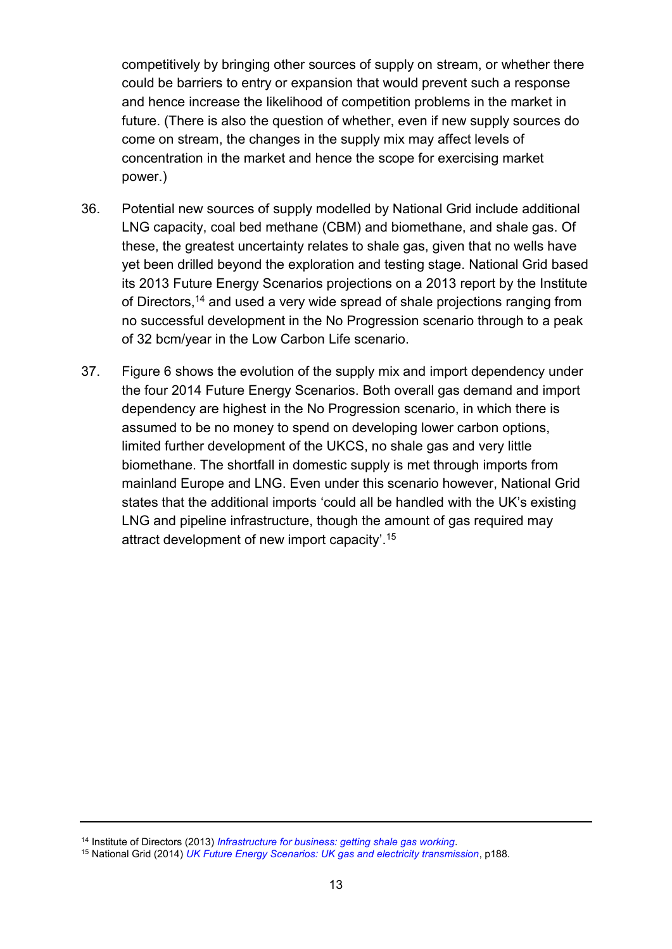competitively by bringing other sources of supply on stream, or whether there could be barriers to entry or expansion that would prevent such a response and hence increase the likelihood of competition problems in the market in future. (There is also the question of whether, even if new supply sources do come on stream, the changes in the supply mix may affect levels of concentration in the market and hence the scope for exercising market power.)

- 36. Potential new sources of supply modelled by National Grid include additional LNG capacity, coal bed methane (CBM) and biomethane, and shale gas. Of these, the greatest uncertainty relates to shale gas, given that no wells have yet been drilled beyond the exploration and testing stage. National Grid based its 2013 Future Energy Scenarios projections on a 2013 report by the Institute of Directors, <sup>14</sup> and used a very wide spread of shale projections ranging from no successful development in the No Progression scenario through to a peak of 32 bcm/year in the Low Carbon Life scenario.
- 37. Figure 6 shows the evolution of the supply mix and import dependency under the four 2014 Future Energy Scenarios. Both overall gas demand and import dependency are highest in the No Progression scenario, in which there is assumed to be no money to spend on developing lower carbon options, limited further development of the UKCS, no shale gas and very little biomethane. The shortfall in domestic supply is met through imports from mainland Europe and LNG. Even under this scenario however, National Grid states that the additional imports 'could all be handled with the UK's existing LNG and pipeline infrastructure, though the amount of gas required may attract development of new import capacity'.<sup>15</sup>

<sup>14</sup> Institute of Directors (2013) *[Infrastructure for business: getting shale gas working](http://www.iod.com/influencing/policy-papers/infrastructure/infrastructure-for-business-getting-shale-gas-working)*.

<sup>15</sup> National Grid (2014) *[UK Future Energy Scenarios: UK gas and electricity transmission](http://www2.nationalgrid.com/uk/industry-information/future-of-energy/future-energy-scenarios/)*, p188.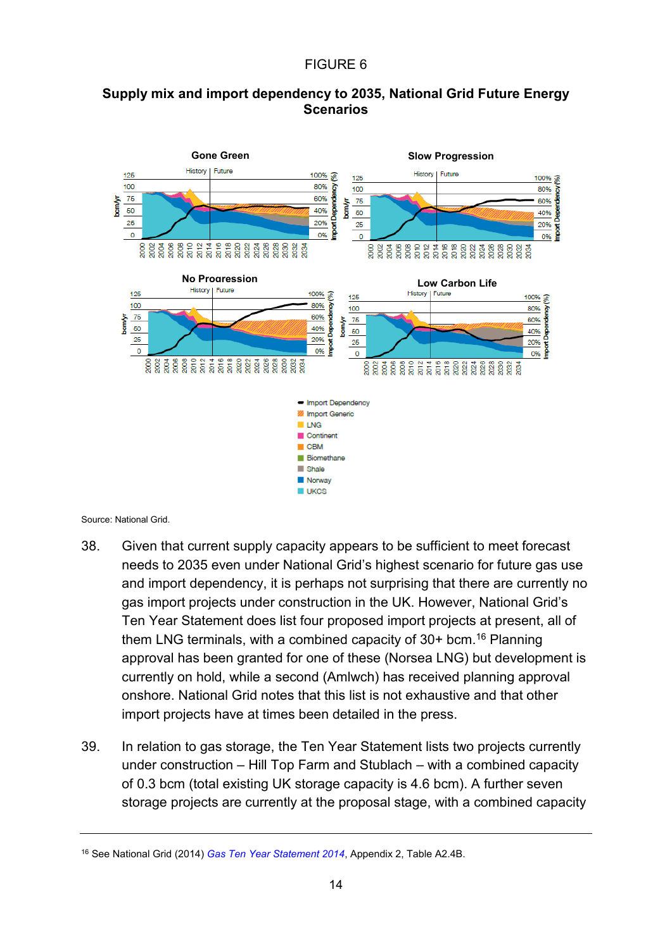# FIGURE 6

# **Supply mix and import dependency to 2035, National Grid Future Energy Scenarios**



Source: National Grid.

- 38. Given that current supply capacity appears to be sufficient to meet forecast needs to 2035 even under National Grid's highest scenario for future gas use and import dependency, it is perhaps not surprising that there are currently no gas import projects under construction in the UK. However, National Grid's Ten Year Statement does list four proposed import projects at present, all of them LNG terminals, with a combined capacity of  $30+$  bcm.<sup>16</sup> Planning approval has been granted for one of these (Norsea LNG) but development is currently on hold, while a second (Amlwch) has received planning approval onshore. National Grid notes that this list is not exhaustive and that other import projects have at times been detailed in the press.
- 39. In relation to gas storage, the Ten Year Statement lists two projects currently under construction – Hill Top Farm and Stublach – with a combined capacity of 0.3 bcm (total existing UK storage capacity is 4.6 bcm). A further seven storage projects are currently at the proposal stage, with a combined capacity

<sup>16</sup> See National Grid (2014) *[Gas Ten Year Statement 2014](http://www2.nationalgrid.com/UK/Industry-information/Future-of-Energy/Gas-Ten-Year-Statement/)*, Appendix 2, Table A2.4B.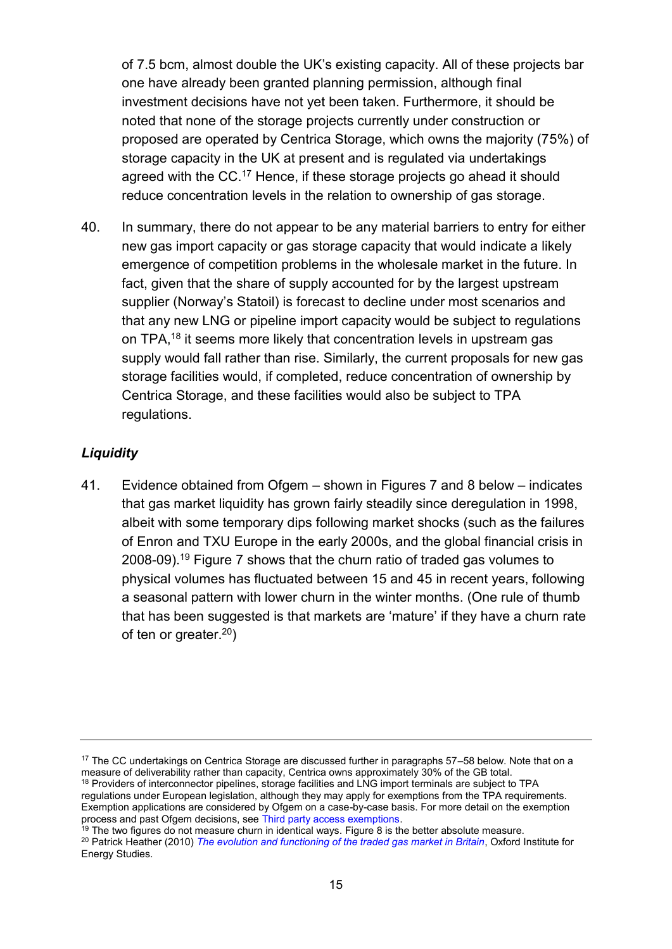of 7.5 bcm, almost double the UK's existing capacity. All of these projects bar one have already been granted planning permission, although final investment decisions have not yet been taken. Furthermore, it should be noted that none of the storage projects currently under construction or proposed are operated by Centrica Storage, which owns the majority (75%) of storage capacity in the UK at present and is regulated via undertakings agreed with the CC.<sup>17</sup> Hence, if these storage projects go ahead it should reduce concentration levels in the relation to ownership of gas storage.

40. In summary, there do not appear to be any material barriers to entry for either new gas import capacity or gas storage capacity that would indicate a likely emergence of competition problems in the wholesale market in the future. In fact, given that the share of supply accounted for by the largest upstream supplier (Norway's Statoil) is forecast to decline under most scenarios and that any new LNG or pipeline import capacity would be subject to regulations on TPA,<sup>18</sup> it seems more likely that concentration levels in upstream gas supply would fall rather than rise. Similarly, the current proposals for new gas storage facilities would, if completed, reduce concentration of ownership by Centrica Storage, and these facilities would also be subject to TPA regulations.

# *Liquidity*

41. Evidence obtained from Ofgem – shown in Figures 7 and 8 below – indicates that gas market liquidity has grown fairly steadily since deregulation in 1998, albeit with some temporary dips following market shocks (such as the failures of Enron and TXU Europe in the early 2000s, and the global financial crisis in 2008-09).<sup>19</sup> Figure 7 shows that the churn ratio of traded gas volumes to physical volumes has fluctuated between 15 and 45 in recent years, following a seasonal pattern with lower churn in the winter months. (One rule of thumb that has been suggested is that markets are 'mature' if they have a churn rate of ten or greater.<sup>20</sup>)

<sup>17</sup> The CC undertakings on Centrica Storage are discussed further in paragraphs 57–58 below. Note that on a measure of deliverability rather than capacity, Centrica owns approximately 30% of the GB total.

<sup>&</sup>lt;sup>18</sup> Providers of interconnector pipelines, storage facilities and LNG import terminals are subject to TPA regulations under European legislation, although they may apply for exemptions from the TPA requirements. Exemption applications are considered by Ofgem on a case-by-case basis. For more detail on the exemption process and past Ofgem decisions, see [Third party access exemptions.](https://www.ofgem.gov.uk/gas/wholesale-market/market-efficiency-review-and-reform/third-party-access-exemptions)

 $19$  The two figures do not measure churn in identical ways. Figure 8 is the better absolute measure.

<sup>20</sup> Patrick Heather (2010) *[The evolution and functioning of the traded gas market in Britain](http://www.oxfordenergy.org/wpcms/wp-content/uploads/2010/11/NG44-TheEvolutionandFunctioningOfTheTradedGasMarketInBritain-PatrickHeather-2010.pdf)*, Oxford Institute for Energy Studies.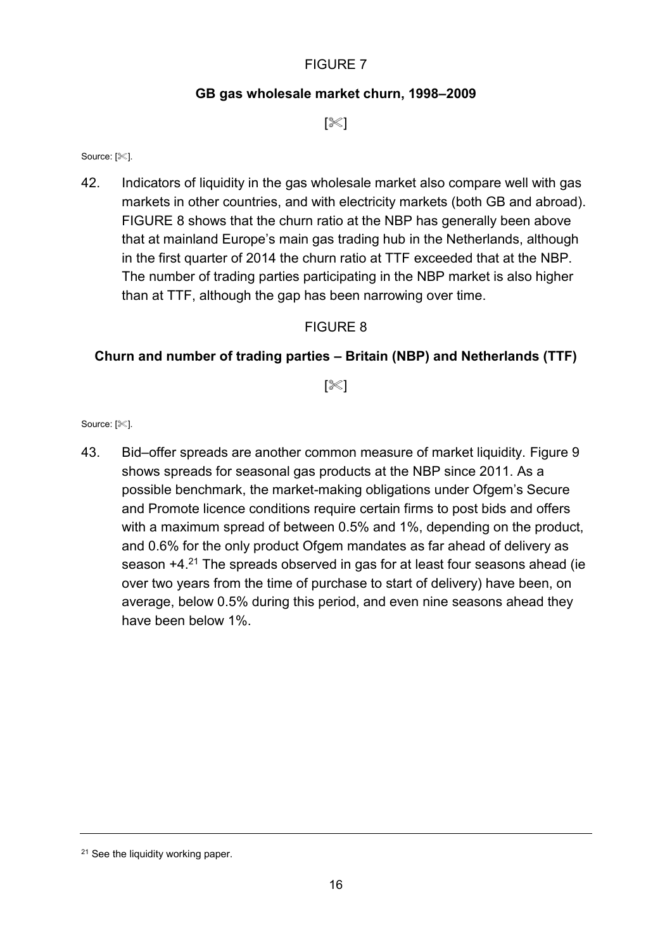# **GB gas wholesale market churn, 1998–2009**

 $[\%]$ 

#### Source: [ $\ll$ ].

42. Indicators of liquidity in the gas wholesale market also compare well with gas markets in other countries, and with electricity markets (both GB and abroad). [FIGURE](#page-17-0) 8 shows that the churn ratio at the NBP has generally been above that at mainland Europe's main gas trading hub in the Netherlands, although in the first quarter of 2014 the churn ratio at TTF exceeded that at the NBP. The number of trading parties participating in the NBP market is also higher than at TTF, although the gap has been narrowing over time.

# FIGURE 8

# <span id="page-17-0"></span>**Churn and number of trading parties – Britain (NBP) and Netherlands (TTF)**

[ $\ll$ ]

Source: [ $\ll$ ].

43. Bid–offer spreads are another common measure of market liquidity. Figure 9 shows spreads for seasonal gas products at the NBP since 2011. As a possible benchmark, the market-making obligations under Ofgem's Secure and Promote licence conditions require certain firms to post bids and offers with a maximum spread of between 0.5% and 1%, depending on the product, and 0.6% for the only product Ofgem mandates as far ahead of delivery as season +4.<sup>21</sup> The spreads observed in gas for at least four seasons ahead (ie over two years from the time of purchase to start of delivery) have been, on average, below 0.5% during this period, and even nine seasons ahead they have been below 1%.

<sup>&</sup>lt;sup>21</sup> See the liquidity working paper.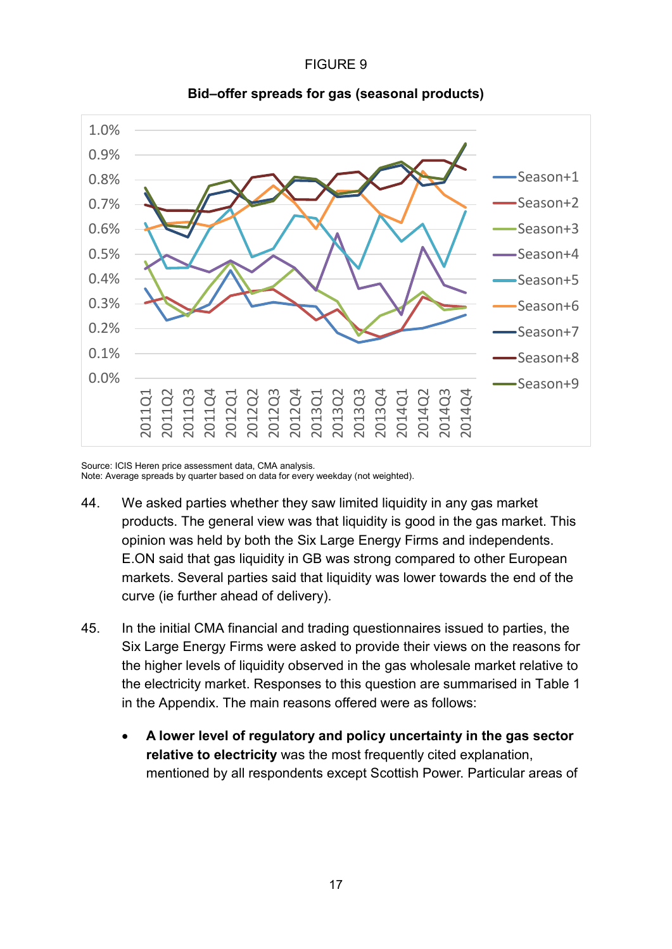### FIGURE 9



**Bid–offer spreads for gas (seasonal products)**

Source: ICIS Heren price assessment data, CMA analysis. Note: Average spreads by quarter based on data for every weekday (not weighted).

- 44. We asked parties whether they saw limited liquidity in any gas market products. The general view was that liquidity is good in the gas market. This opinion was held by both the Six Large Energy Firms and independents. E.ON said that gas liquidity in GB was strong compared to other European markets. Several parties said that liquidity was lower towards the end of the curve (ie further ahead of delivery).
- 45. In the initial CMA financial and trading questionnaires issued to parties, the Six Large Energy Firms were asked to provide their views on the reasons for the higher levels of liquidity observed in the gas wholesale market relative to the electricity market. Responses to this question are summarised in Table 1 in the Appendix. The main reasons offered were as follows:
	- **A lower level of regulatory and policy uncertainty in the gas sector relative to electricity** was the most frequently cited explanation, mentioned by all respondents except Scottish Power. Particular areas of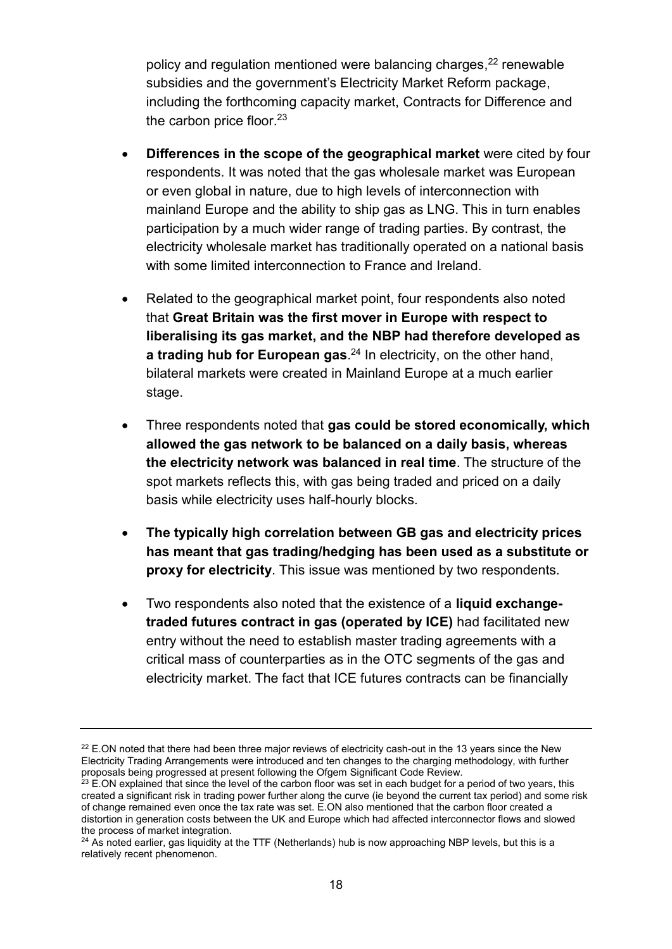policy and regulation mentioned were balancing charges, <sup>22</sup> renewable subsidies and the government's Electricity Market Reform package, including the forthcoming capacity market, Contracts for Difference and the carbon price floor.<sup>23</sup>

- **Differences in the scope of the geographical market** were cited by four respondents. It was noted that the gas wholesale market was European or even global in nature, due to high levels of interconnection with mainland Europe and the ability to ship gas as LNG. This in turn enables participation by a much wider range of trading parties. By contrast, the electricity wholesale market has traditionally operated on a national basis with some limited interconnection to France and Ireland.
- Related to the geographical market point, four respondents also noted that **Great Britain was the first mover in Europe with respect to liberalising its gas market, and the NBP had therefore developed as a trading hub for European gas**. <sup>24</sup> In electricity, on the other hand, bilateral markets were created in Mainland Europe at a much earlier stage.
- Three respondents noted that **gas could be stored economically, which allowed the gas network to be balanced on a daily basis, whereas the electricity network was balanced in real time**. The structure of the spot markets reflects this, with gas being traded and priced on a daily basis while electricity uses half-hourly blocks.
- **The typically high correlation between GB gas and electricity prices has meant that gas trading/hedging has been used as a substitute or proxy for electricity**. This issue was mentioned by two respondents.
- Two respondents also noted that the existence of a **liquid exchangetraded futures contract in gas (operated by ICE)** had facilitated new entry without the need to establish master trading agreements with a critical mass of counterparties as in the OTC segments of the gas and electricity market. The fact that ICE futures contracts can be financially

 $22$  E.ON noted that there had been three major reviews of electricity cash-out in the 13 years since the New Electricity Trading Arrangements were introduced and ten changes to the charging methodology, with further proposals being progressed at present following the Ofgem Significant Code Review.

 $^{23}$  E.ON explained that since the level of the carbon floor was set in each budget for a period of two years, this created a significant risk in trading power further along the curve (ie beyond the current tax period) and some risk of change remained even once the tax rate was set. E.ON also mentioned that the carbon floor created a distortion in generation costs between the UK and Europe which had affected interconnector flows and slowed the process of market integration.

<sup>&</sup>lt;sup>24</sup> As noted earlier, gas liquidity at the TTF (Netherlands) hub is now approaching NBP levels, but this is a relatively recent phenomenon.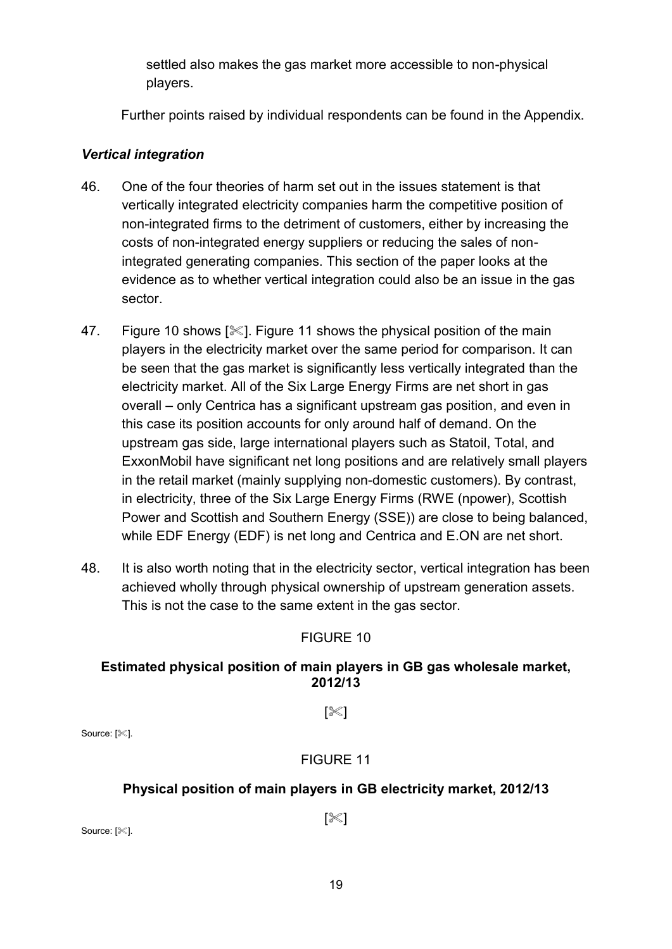settled also makes the gas market more accessible to non-physical players.

Further points raised by individual respondents can be found in the Appendix.

# *Vertical integration*

- 46. One of the four theories of harm set out in the issues statement is that vertically integrated electricity companies harm the competitive position of non-integrated firms to the detriment of customers, either by increasing the costs of non-integrated energy suppliers or reducing the sales of nonintegrated generating companies. This section of the paper looks at the evidence as to whether vertical integration could also be an issue in the gas sector.
- 47. Figure 10 shows [ $\ll$ ]. Figure 11 shows the physical position of the main players in the electricity market over the same period for comparison. It can be seen that the gas market is significantly less vertically integrated than the electricity market. All of the Six Large Energy Firms are net short in gas overall – only Centrica has a significant upstream gas position, and even in this case its position accounts for only around half of demand. On the upstream gas side, large international players such as Statoil, Total, and ExxonMobil have significant net long positions and are relatively small players in the retail market (mainly supplying non-domestic customers). By contrast, in electricity, three of the Six Large Energy Firms (RWE (npower), Scottish Power and Scottish and Southern Energy (SSE)) are close to being balanced, while EDF Energy (EDF) is net long and Centrica and E.ON are net short.
- 48. It is also worth noting that in the electricity sector, vertical integration has been achieved wholly through physical ownership of upstream generation assets. This is not the case to the same extent in the gas sector.

# FIGURE 10

# **Estimated physical position of main players in GB gas wholesale market, 2012/13**

 $\ll$ ]

Source: [ $\ll$ ].

# FIGURE 11

# **Physical position of main players in GB electricity market, 2012/13**

 $[\mathbb{K}]$ 

Source: [ $\ll$ ].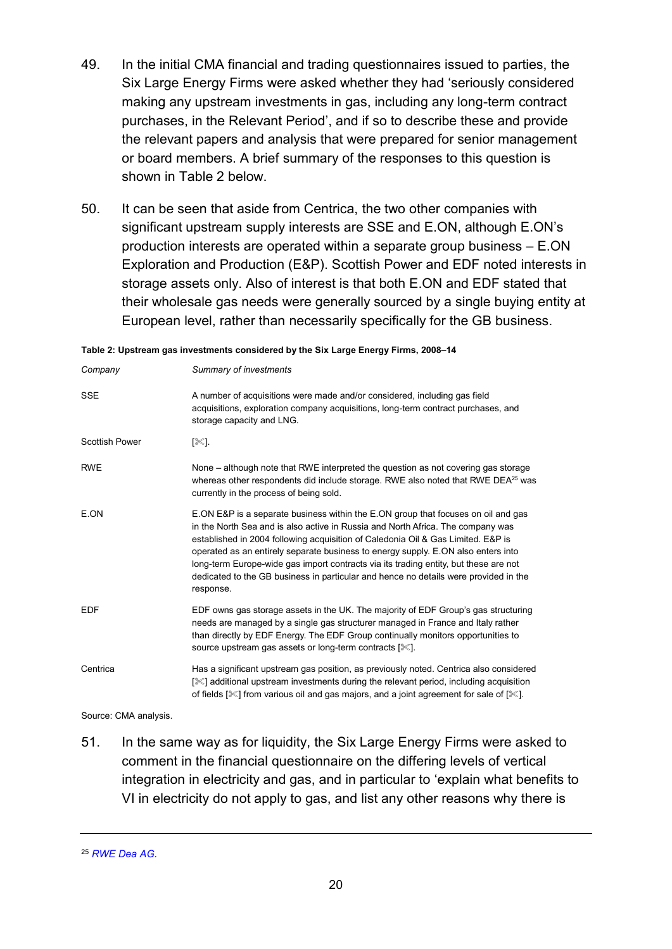- 49. In the initial CMA financial and trading questionnaires issued to parties, the Six Large Energy Firms were asked whether they had 'seriously considered making any upstream investments in gas, including any long-term contract purchases, in the Relevant Period', and if so to describe these and provide the relevant papers and analysis that were prepared for senior management or board members. A brief summary of the responses to this question is shown in Table 2 below.
- 50. It can be seen that aside from Centrica, the two other companies with significant upstream supply interests are SSE and E.ON, although E.ON's production interests are operated within a separate group business – E.ON Exploration and Production (E&P). Scottish Power and EDF noted interests in storage assets only. Also of interest is that both E.ON and EDF stated that their wholesale gas needs were generally sourced by a single buying entity at European level, rather than necessarily specifically for the GB business.

| Company               | Summary of investments                                                                                                                                                                                                                                                                                                                                                                                                                                                                                                                     |
|-----------------------|--------------------------------------------------------------------------------------------------------------------------------------------------------------------------------------------------------------------------------------------------------------------------------------------------------------------------------------------------------------------------------------------------------------------------------------------------------------------------------------------------------------------------------------------|
| <b>SSE</b>            | A number of acquisitions were made and/or considered, including gas field<br>acquisitions, exploration company acquisitions, long-term contract purchases, and<br>storage capacity and LNG.                                                                                                                                                                                                                                                                                                                                                |
| <b>Scottish Power</b> | [ᢟ].                                                                                                                                                                                                                                                                                                                                                                                                                                                                                                                                       |
| <b>RWE</b>            | None – although note that RWE interpreted the question as not covering gas storage<br>whereas other respondents did include storage. RWE also noted that RWE DEA <sup>25</sup> was<br>currently in the process of being sold.                                                                                                                                                                                                                                                                                                              |
| E.ON                  | E.ON E&P is a separate business within the E.ON group that focuses on oil and gas<br>in the North Sea and is also active in Russia and North Africa. The company was<br>established in 2004 following acquisition of Caledonia Oil & Gas Limited. E&P is<br>operated as an entirely separate business to energy supply. E.ON also enters into<br>long-term Europe-wide gas import contracts via its trading entity, but these are not<br>dedicated to the GB business in particular and hence no details were provided in the<br>response. |
| <b>EDF</b>            | EDF owns gas storage assets in the UK. The majority of EDF Group's gas structuring<br>needs are managed by a single gas structurer managed in France and Italy rather<br>than directly by EDF Energy. The EDF Group continually monitors opportunities to<br>source upstream gas assets or long-term contracts [ $\ll$ ].                                                                                                                                                                                                                  |
| Centrica              | Has a significant upstream gas position, as previously noted. Centrica also considered<br>[ <sup>3</sup> √] additional upstream investments during the relevant period, including acquisition<br>of fields [ $\mathscr{K}$ ] from various oil and gas majors, and a joint agreement for sale of [ $\mathscr{K}$ ].                                                                                                                                                                                                                         |

**Table 2: Upstream gas investments considered by the Six Large Energy Firms, 2008–14**

Source: CMA analysis.

51. In the same way as for liquidity, the Six Large Energy Firms were asked to comment in the financial questionnaire on the differing levels of vertical integration in electricity and gas, and in particular to 'explain what benefits to VI in electricity do not apply to gas, and list any other reasons why there is

<sup>25</sup> *[RWE Dea AG.](http://www.rwe.com/web/cms/en/1475404/dea-ag/about-dea-ag/company/)*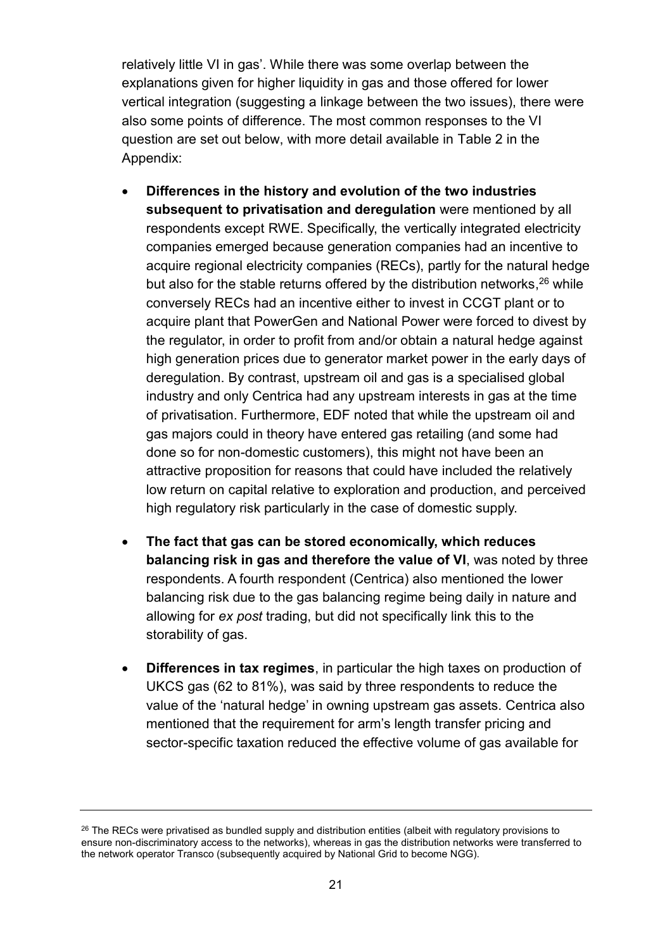relatively little VI in gas'. While there was some overlap between the explanations given for higher liquidity in gas and those offered for lower vertical integration (suggesting a linkage between the two issues), there were also some points of difference. The most common responses to the VI question are set out below, with more detail available in Table 2 in the Appendix:

- **Differences in the history and evolution of the two industries subsequent to privatisation and deregulation** were mentioned by all respondents except RWE. Specifically, the vertically integrated electricity companies emerged because generation companies had an incentive to acquire regional electricity companies (RECs), partly for the natural hedge but also for the stable returns offered by the distribution networks, <sup>26</sup> while conversely RECs had an incentive either to invest in CCGT plant or to acquire plant that PowerGen and National Power were forced to divest by the regulator, in order to profit from and/or obtain a natural hedge against high generation prices due to generator market power in the early days of deregulation. By contrast, upstream oil and gas is a specialised global industry and only Centrica had any upstream interests in gas at the time of privatisation. Furthermore, EDF noted that while the upstream oil and gas majors could in theory have entered gas retailing (and some had done so for non-domestic customers), this might not have been an attractive proposition for reasons that could have included the relatively low return on capital relative to exploration and production, and perceived high regulatory risk particularly in the case of domestic supply.
- **The fact that gas can be stored economically, which reduces balancing risk in gas and therefore the value of VI**, was noted by three respondents. A fourth respondent (Centrica) also mentioned the lower balancing risk due to the gas balancing regime being daily in nature and allowing for *ex post* trading, but did not specifically link this to the storability of gas.
- **Differences in tax regimes**, in particular the high taxes on production of UKCS gas (62 to 81%), was said by three respondents to reduce the value of the 'natural hedge' in owning upstream gas assets. Centrica also mentioned that the requirement for arm's length transfer pricing and sector-specific taxation reduced the effective volume of gas available for

<sup>&</sup>lt;sup>26</sup> The RECs were privatised as bundled supply and distribution entities (albeit with regulatory provisions to ensure non-discriminatory access to the networks), whereas in gas the distribution networks were transferred to the network operator Transco (subsequently acquired by National Grid to become NGG).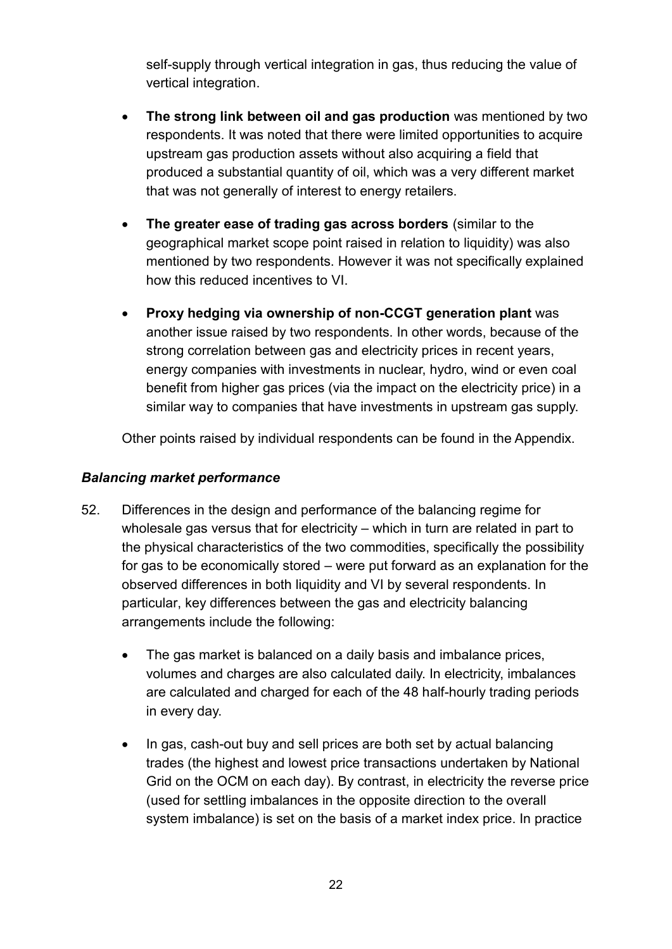self-supply through vertical integration in gas, thus reducing the value of vertical integration.

- **The strong link between oil and gas production** was mentioned by two respondents. It was noted that there were limited opportunities to acquire upstream gas production assets without also acquiring a field that produced a substantial quantity of oil, which was a very different market that was not generally of interest to energy retailers.
- **The greater ease of trading gas across borders** (similar to the geographical market scope point raised in relation to liquidity) was also mentioned by two respondents. However it was not specifically explained how this reduced incentives to VI.
- **Proxy hedging via ownership of non-CCGT generation plant** was another issue raised by two respondents. In other words, because of the strong correlation between gas and electricity prices in recent years, energy companies with investments in nuclear, hydro, wind or even coal benefit from higher gas prices (via the impact on the electricity price) in a similar way to companies that have investments in upstream gas supply.

Other points raised by individual respondents can be found in the Appendix.

# *Balancing market performance*

- 52. Differences in the design and performance of the balancing regime for wholesale gas versus that for electricity – which in turn are related in part to the physical characteristics of the two commodities, specifically the possibility for gas to be economically stored – were put forward as an explanation for the observed differences in both liquidity and VI by several respondents. In particular, key differences between the gas and electricity balancing arrangements include the following:
	- The gas market is balanced on a daily basis and imbalance prices, volumes and charges are also calculated daily. In electricity, imbalances are calculated and charged for each of the 48 half-hourly trading periods in every day.
	- In gas, cash-out buy and sell prices are both set by actual balancing trades (the highest and lowest price transactions undertaken by National Grid on the OCM on each day). By contrast, in electricity the reverse price (used for settling imbalances in the opposite direction to the overall system imbalance) is set on the basis of a market index price. In practice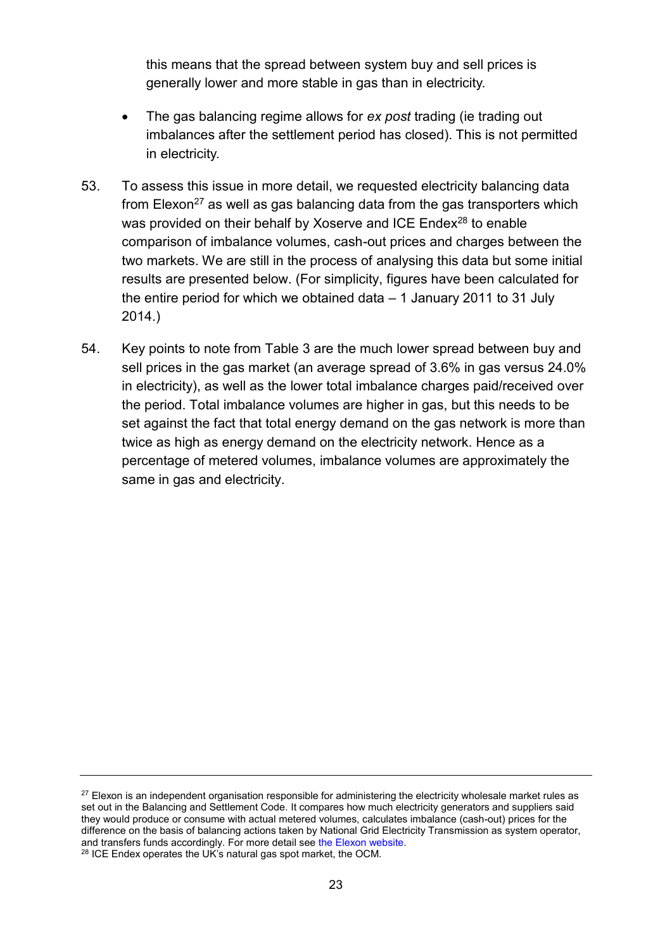this means that the spread between system buy and sell prices is generally lower and more stable in gas than in electricity.

- The gas balancing regime allows for *ex post* trading (ie trading out imbalances after the settlement period has closed). This is not permitted in electricity.
- 53. To assess this issue in more detail, we requested electricity balancing data from Elexon<sup>27</sup> as well as gas balancing data from the gas transporters which was provided on their behalf by Xoserve and ICE Endex<sup>28</sup> to enable comparison of imbalance volumes, cash-out prices and charges between the two markets. We are still in the process of analysing this data but some initial results are presented below. (For simplicity, figures have been calculated for the entire period for which we obtained data – 1 January 2011 to 31 July 2014.)
- 54. Key points to note from Table 3 are the much lower spread between buy and sell prices in the gas market (an average spread of 3.6% in gas versus 24.0% in electricity), as well as the lower total imbalance charges paid/received over the period. Total imbalance volumes are higher in gas, but this needs to be set against the fact that total energy demand on the gas network is more than twice as high as energy demand on the electricity network. Hence as a percentage of metered volumes, imbalance volumes are approximately the same in gas and electricity.

 $27$  Elexon is an independent organisation responsible for administering the electricity wholesale market rules as set out in the Balancing and Settlement Code. It compares how much electricity generators and suppliers said they would produce or consume with actual metered volumes, calculates imbalance (cash-out) prices for the difference on the basis of balancing actions taken by National Grid Electricity Transmission as system operator, and transfers funds accordingly. For more detail see [the Elexon website.](http://www.elexon.co.uk/about/) <sup>28</sup> ICE Endex operates the UK's natural gas spot market, the OCM.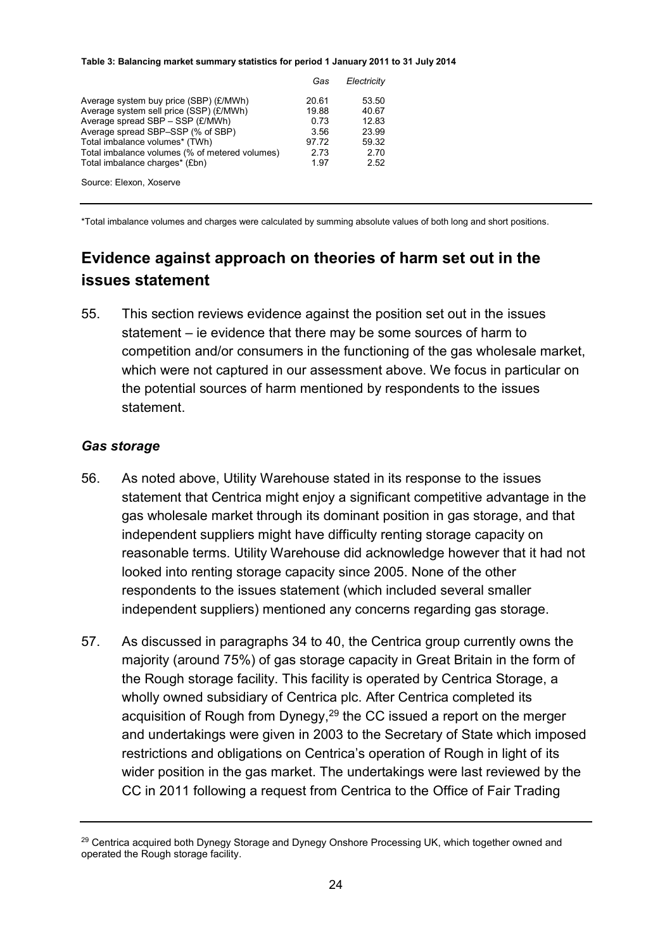#### **Table 3: Balancing market summary statistics for period 1 January 2011 to 31 July 2014**

|                                                                                  | Gas           | Electricity    |
|----------------------------------------------------------------------------------|---------------|----------------|
| Average system buy price (SBP) (£/MWh)                                           | 20.61         | 53.50          |
| Average system sell price (SSP) (£/MWh)<br>Average spread SBP - SSP (£/MWh)      | 19.88<br>0.73 | 40.67<br>12.83 |
| Average spread SBP-SSP (% of SBP)                                                | 3.56          | 23.99          |
| Total imbalance volumes* (TWh)<br>Total imbalance volumes (% of metered volumes) | 97.72<br>2.73 | 59.32<br>2.70  |
| Total imbalance charges* (£bn)                                                   | 1.97          | 2.52           |
| Source: Elexon, Xoserve                                                          |               |                |

<span id="page-25-0"></span>\*Total imbalance volumes and charges were calculated by summing absolute values of both long and short positions.

# **Evidence against approach on theories of harm set out in the issues statement**

55. This section reviews evidence against the position set out in the issues statement – ie evidence that there may be some sources of harm to competition and/or consumers in the functioning of the gas wholesale market, which were not captured in our assessment above. We focus in particular on the potential sources of harm mentioned by respondents to the issues statement.

#### *Gas storage*

- 56. As noted above, Utility Warehouse stated in its response to the issues statement that Centrica might enjoy a significant competitive advantage in the gas wholesale market through its dominant position in gas storage, and that independent suppliers might have difficulty renting storage capacity on reasonable terms. Utility Warehouse did acknowledge however that it had not looked into renting storage capacity since 2005. None of the other respondents to the issues statement (which included several smaller independent suppliers) mentioned any concerns regarding gas storage.
- 57. As discussed in paragraphs 34 to 40, the Centrica group currently owns the majority (around 75%) of gas storage capacity in Great Britain in the form of the Rough storage facility. This facility is operated by Centrica Storage, a wholly owned subsidiary of Centrica plc. After Centrica completed its acquisition of Rough from Dynegy,<sup>29</sup> the CC issued a report on the merger and undertakings were given in 2003 to the Secretary of State which imposed restrictions and obligations on Centrica's operation of Rough in light of its wider position in the gas market. The undertakings were last reviewed by the CC in 2011 following a request from Centrica to the Office of Fair Trading

<sup>&</sup>lt;sup>29</sup> Centrica acquired both Dynegy Storage and Dynegy Onshore Processing UK, which together owned and operated the Rough storage facility.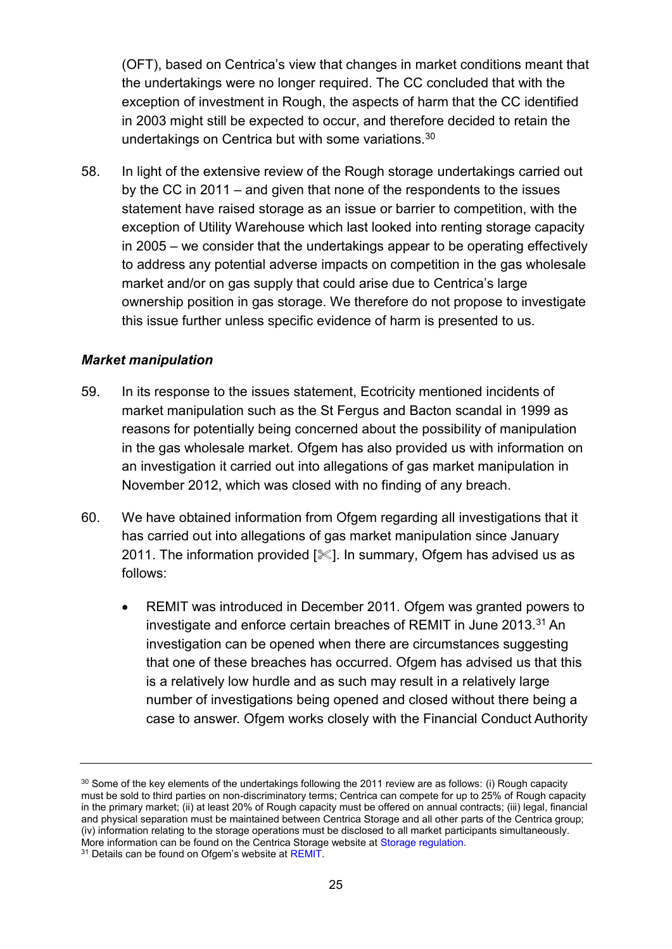(OFT), based on Centrica's view that changes in market conditions meant that the undertakings were no longer required. The CC concluded that with the exception of investment in Rough, the aspects of harm that the CC identified in 2003 might still be expected to occur, and therefore decided to retain the undertakings on Centrica but with some variations.<sup>30</sup>

58. In light of the extensive review of the Rough storage undertakings carried out by the CC in 2011 – and given that none of the respondents to the issues statement have raised storage as an issue or barrier to competition, with the exception of Utility Warehouse which last looked into renting storage capacity in 2005 – we consider that the undertakings appear to be operating effectively to address any potential adverse impacts on competition in the gas wholesale market and/or on gas supply that could arise due to Centrica's large ownership position in gas storage. We therefore do not propose to investigate this issue further unless specific evidence of harm is presented to us.

# *Market manipulation*

- 59. In its response to the issues statement, Ecotricity mentioned incidents of market manipulation such as the St Fergus and Bacton scandal in 1999 as reasons for potentially being concerned about the possibility of manipulation in the gas wholesale market. Ofgem has also provided us with information on an investigation it carried out into allegations of gas market manipulation in November 2012, which was closed with no finding of any breach.
- 60. We have obtained information from Ofgem regarding all investigations that it has carried out into allegations of gas market manipulation since January 2011. The information provided  $[\&]$ . In summary, Ofgem has advised us as follows:
	- REMIT was introduced in December 2011. Ofgem was granted powers to investigate and enforce certain breaches of REMIT in June 2013.<sup>31</sup> An investigation can be opened when there are circumstances suggesting that one of these breaches has occurred. Ofgem has advised us that this is a relatively low hurdle and as such may result in a relatively large number of investigations being opened and closed without there being a case to answer. Ofgem works closely with the Financial Conduct Authority

<sup>&</sup>lt;sup>30</sup> Some of the key elements of the undertakings following the 2011 review are as follows: (i) Rough capacity must be sold to third parties on non-discriminatory terms; Centrica can compete for up to 25% of Rough capacity in the primary market; (ii) at least 20% of Rough capacity must be offered on annual contracts; (iii) legal, financial and physical separation must be maintained between Centrica Storage and all other parts of the Centrica group; (iv) information relating to the storage operations must be disclosed to all market participants simultaneously. More information can be found on the Centrica Storage website at [Storage regulation.](http://www.centrica-sl.co.uk/index.asp?pageid=82)

<sup>&</sup>lt;sup>31</sup> Details can be found on Ofgem's website at REMIT.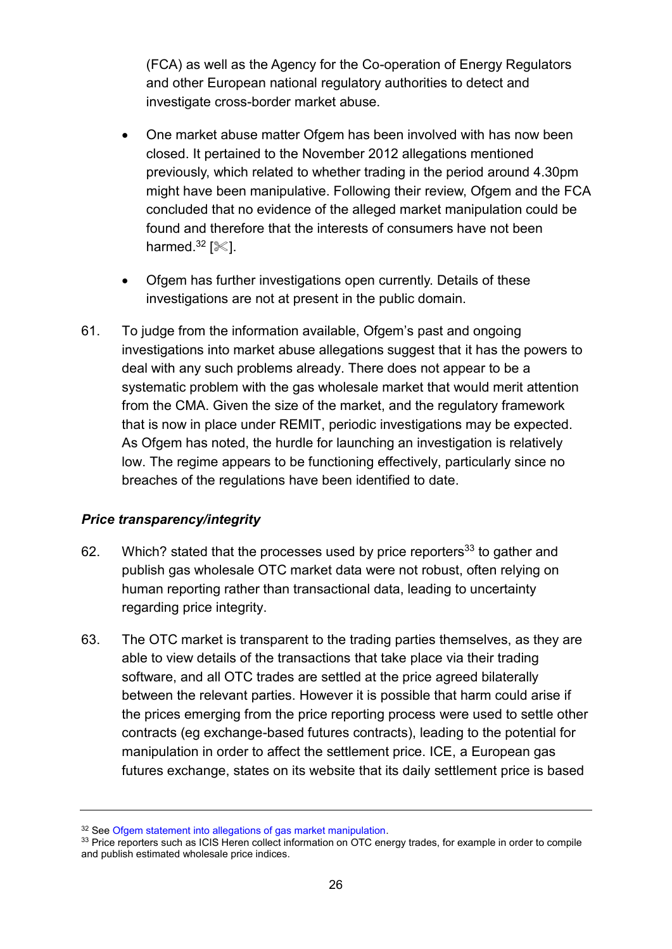(FCA) as well as the Agency for the Co-operation of Energy Regulators and other European national regulatory authorities to detect and investigate cross-border market abuse.

- One market abuse matter Ofgem has been involved with has now been closed. It pertained to the November 2012 allegations mentioned previously, which related to whether trading in the period around 4.30pm might have been manipulative. Following their review, Ofgem and the FCA concluded that no evidence of the alleged market manipulation could be found and therefore that the interests of consumers have not been harmed. $32$  [ $\ll$ ].
- Ofgem has further investigations open currently. Details of these investigations are not at present in the public domain.
- 61. To judge from the information available, Ofgem's past and ongoing investigations into market abuse allegations suggest that it has the powers to deal with any such problems already. There does not appear to be a systematic problem with the gas wholesale market that would merit attention from the CMA. Given the size of the market, and the regulatory framework that is now in place under REMIT, periodic investigations may be expected. As Ofgem has noted, the hurdle for launching an investigation is relatively low. The regime appears to be functioning effectively, particularly since no breaches of the regulations have been identified to date.

# *Price transparency/integrity*

- 62. Which? stated that the processes used by price reporters<sup>33</sup> to gather and publish gas wholesale OTC market data were not robust, often relying on human reporting rather than transactional data, leading to uncertainty regarding price integrity.
- 63. The OTC market is transparent to the trading parties themselves, as they are able to view details of the transactions that take place via their trading software, and all OTC trades are settled at the price agreed bilaterally between the relevant parties. However it is possible that harm could arise if the prices emerging from the price reporting process were used to settle other contracts (eg exchange-based futures contracts), leading to the potential for manipulation in order to affect the settlement price. ICE, a European gas futures exchange, states on its website that its daily settlement price is based

<sup>&</sup>lt;sup>32</sup> Se[e Ofgem statement into allegations of gas market manipulation.](https://www.ofgem.gov.uk/press-releases/ofgem-statement-allegations-gas-market-manipulation)

<sup>&</sup>lt;sup>33</sup> Price reporters such as ICIS Heren collect information on OTC energy trades, for example in order to compile and publish estimated wholesale price indices.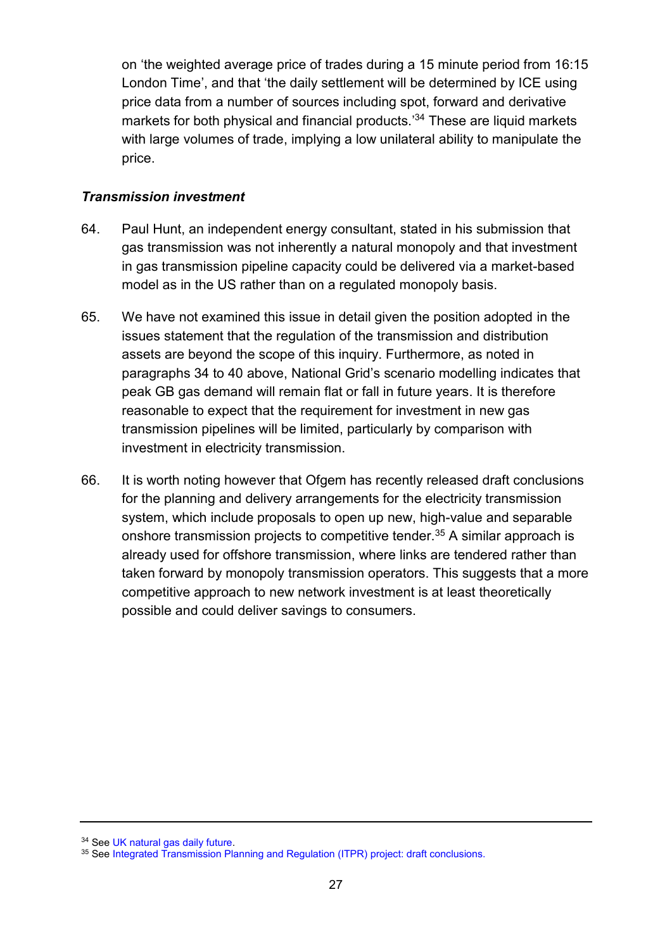on 'the weighted average price of trades during a 15 minute period from 16:15 London Time', and that 'the daily settlement will be determined by ICE using price data from a number of sources including spot, forward and derivative markets for both physical and financial products.' <sup>34</sup> These are liquid markets with large volumes of trade, implying a low unilateral ability to manipulate the price.

# *Transmission investment*

- 64. Paul Hunt, an independent energy consultant, stated in his submission that gas transmission was not inherently a natural monopoly and that investment in gas transmission pipeline capacity could be delivered via a market-based model as in the US rather than on a regulated monopoly basis.
- 65. We have not examined this issue in detail given the position adopted in the issues statement that the regulation of the transmission and distribution assets are beyond the scope of this inquiry. Furthermore, as noted in paragraphs 34 to 40 above, National Grid's scenario modelling indicates that peak GB gas demand will remain flat or fall in future years. It is therefore reasonable to expect that the requirement for investment in new gas transmission pipelines will be limited, particularly by comparison with investment in electricity transmission.
- 66. It is worth noting however that Ofgem has recently released draft conclusions for the planning and delivery arrangements for the electricity transmission system, which include proposals to open up new, high-value and separable onshore transmission projects to competitive tender.<sup>35</sup> A similar approach is already used for offshore transmission, where links are tendered rather than taken forward by monopoly transmission operators. This suggests that a more competitive approach to new network investment is at least theoretically possible and could deliver savings to consumers.

<sup>34</sup> Se[e UK natural gas daily future.](https://www.theice.com/products/20774967/UK-Natural-Gas-Daily-Future)

<sup>35</sup> See Integrated Transmission Planning and Regulation (ITPR) project: draft conclusions.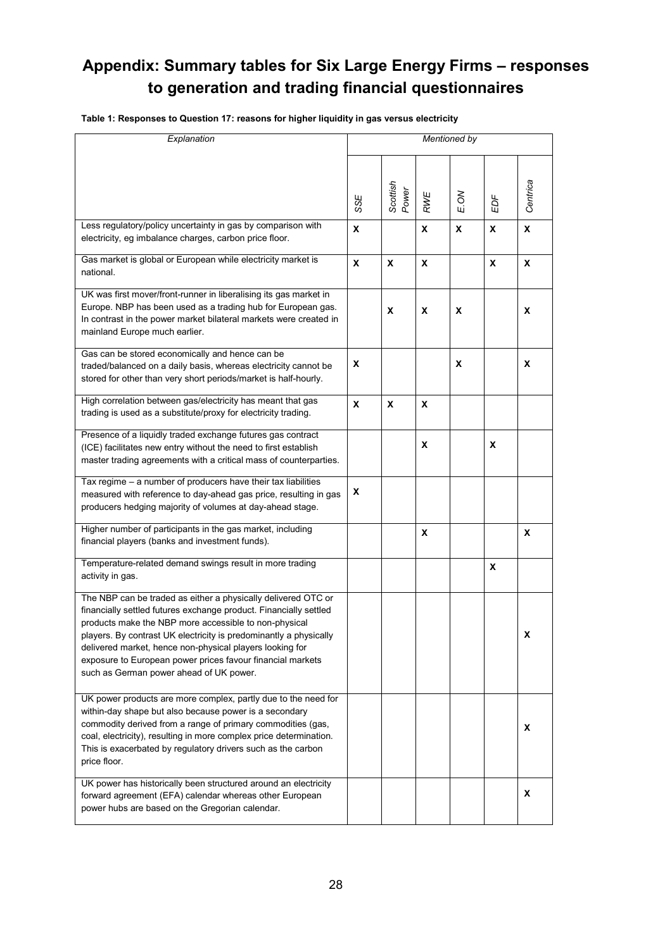# <span id="page-29-0"></span>**Appendix: Summary tables for Six Large Energy Firms – responses to generation and trading financial questionnaires**

**Table 1: Responses to Question 17: reasons for higher liquidity in gas versus electricity**

| Explanation                                                                                                                                                                                                                                                                                                                                                                                                                           | <b>Mentioned by</b> |                   |              |         |     |              |
|---------------------------------------------------------------------------------------------------------------------------------------------------------------------------------------------------------------------------------------------------------------------------------------------------------------------------------------------------------------------------------------------------------------------------------------|---------------------|-------------------|--------------|---------|-----|--------------|
|                                                                                                                                                                                                                                                                                                                                                                                                                                       | SSE                 | Scottish<br>Power | RWE          | š<br>Шi | ΕDΕ | Centrica     |
| Less regulatory/policy uncertainty in gas by comparison with<br>electricity, eg imbalance charges, carbon price floor.                                                                                                                                                                                                                                                                                                                | X                   |                   | $\mathbf{x}$ | X       | X   | $\pmb{\chi}$ |
| Gas market is global or European while electricity market is<br>national.                                                                                                                                                                                                                                                                                                                                                             | X                   | X                 | X            |         | X   | X            |
| UK was first mover/front-runner in liberalising its gas market in<br>Europe. NBP has been used as a trading hub for European gas.<br>In contrast in the power market bilateral markets were created in<br>mainland Europe much earlier.                                                                                                                                                                                               |                     | X                 | X            | X       |     | X            |
| Gas can be stored economically and hence can be<br>traded/balanced on a daily basis, whereas electricity cannot be<br>stored for other than very short periods/market is half-hourly.                                                                                                                                                                                                                                                 | x                   |                   |              | X       |     | X            |
| High correlation between gas/electricity has meant that gas<br>trading is used as a substitute/proxy for electricity trading.                                                                                                                                                                                                                                                                                                         | X                   | X                 | X            |         |     |              |
| Presence of a liquidly traded exchange futures gas contract<br>(ICE) facilitates new entry without the need to first establish<br>master trading agreements with a critical mass of counterparties.                                                                                                                                                                                                                                   |                     |                   | X            |         | X   |              |
| Tax regime - a number of producers have their tax liabilities<br>measured with reference to day-ahead gas price, resulting in gas<br>producers hedging majority of volumes at day-ahead stage.                                                                                                                                                                                                                                        | x                   |                   |              |         |     |              |
| Higher number of participants in the gas market, including<br>financial players (banks and investment funds).                                                                                                                                                                                                                                                                                                                         |                     |                   | X            |         |     | X            |
| Temperature-related demand swings result in more trading<br>activity in gas.                                                                                                                                                                                                                                                                                                                                                          |                     |                   |              |         | X   |              |
| The NBP can be traded as either a physically delivered OTC or<br>financially settled futures exchange product. Financially settled<br>products make the NBP more accessible to non-physical<br>players. By contrast UK electricity is predominantly a physically<br>delivered market, hence non-physical players looking for<br>exposure to European power prices favour financial markets<br>such as German power ahead of UK power. |                     |                   |              |         |     | x            |
| UK power products are more complex, partly due to the need for<br>within-day shape but also because power is a secondary<br>commodity derived from a range of primary commodities (gas,<br>coal, electricity), resulting in more complex price determination.<br>This is exacerbated by regulatory drivers such as the carbon<br>price floor.                                                                                         |                     |                   |              |         |     | x            |
| UK power has historically been structured around an electricity<br>forward agreement (EFA) calendar whereas other European<br>power hubs are based on the Gregorian calendar.                                                                                                                                                                                                                                                         |                     |                   |              |         |     | X            |